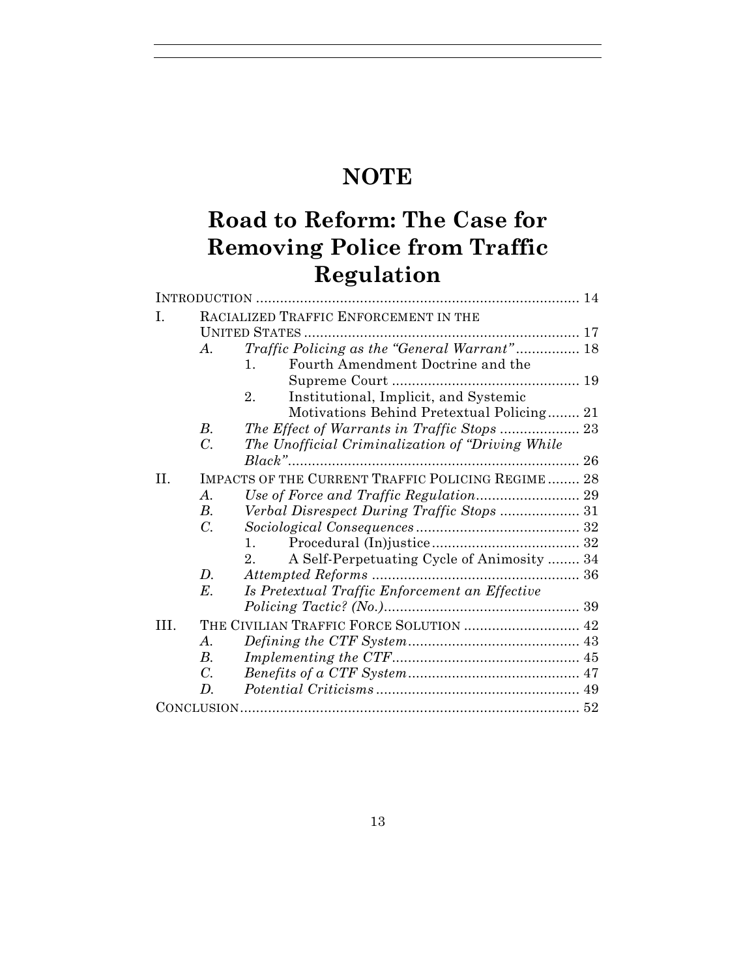# **NOTE**

# **Road to Reform: The Case for Removing Police from Traffic Regulation**

| Ι.  | RACIALIZED TRAFFIC ENFORCEMENT IN THE             |                                                           |  |
|-----|---------------------------------------------------|-----------------------------------------------------------|--|
|     |                                                   |                                                           |  |
|     | A.                                                | Traffic Policing as the "General Warrant" 18              |  |
|     |                                                   | Fourth Amendment Doctrine and the<br>$\mathbf{1}_{\cdot}$ |  |
|     |                                                   |                                                           |  |
|     |                                                   | Institutional, Implicit, and Systemic<br>2.               |  |
|     |                                                   | Motivations Behind Pretextual Policing 21                 |  |
|     | В.                                                |                                                           |  |
|     | $\overline{C}$ .                                  | The Unofficial Criminalization of "Driving While"         |  |
|     |                                                   |                                                           |  |
| H.  | IMPACTS OF THE CURRENT TRAFFIC POLICING REGIME 28 |                                                           |  |
|     | $\mathcal{A}$ .                                   |                                                           |  |
|     | <i>B</i> .                                        |                                                           |  |
|     | $\mathcal{C}$ .                                   |                                                           |  |
|     |                                                   | $1_{-}$                                                   |  |
|     |                                                   | A Self-Perpetuating Cycle of Animosity  34<br>$2_{-}$     |  |
|     | D.                                                |                                                           |  |
|     | $E$ .                                             | Is Pretextual Traffic Enforcement an Effective            |  |
|     |                                                   |                                                           |  |
| TH. |                                                   |                                                           |  |
|     | $\boldsymbol{\mathcal{A}}$ .                      |                                                           |  |
|     | $B_{\cdot}$                                       |                                                           |  |
|     | $C_{\cdot}$                                       |                                                           |  |
|     | D.                                                |                                                           |  |
|     |                                                   |                                                           |  |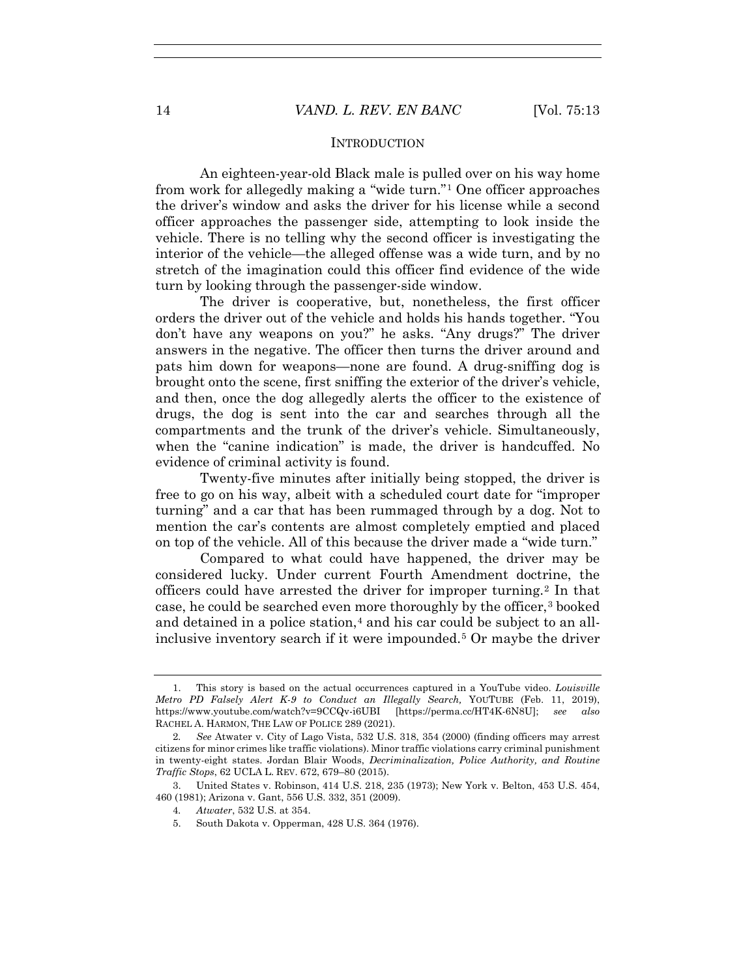#### **INTRODUCTION**

An eighteen-year-old Black male is pulled over on his way home from work for allegedly making a "wide turn."1 One officer approaches the driver's window and asks the driver for his license while a second officer approaches the passenger side, attempting to look inside the vehicle. There is no telling why the second officer is investigating the interior of the vehicle—the alleged offense was a wide turn, and by no stretch of the imagination could this officer find evidence of the wide turn by looking through the passenger-side window.

The driver is cooperative, but, nonetheless, the first officer orders the driver out of the vehicle and holds his hands together. "You don't have any weapons on you?" he asks. "Any drugs?" The driver answers in the negative. The officer then turns the driver around and pats him down for weapons—none are found. A drug-sniffing dog is brought onto the scene, first sniffing the exterior of the driver's vehicle, and then, once the dog allegedly alerts the officer to the existence of drugs, the dog is sent into the car and searches through all the compartments and the trunk of the driver's vehicle. Simultaneously, when the "canine indication" is made, the driver is handcuffed. No evidence of criminal activity is found.

Twenty-five minutes after initially being stopped, the driver is free to go on his way, albeit with a scheduled court date for "improper turning" and a car that has been rummaged through by a dog. Not to mention the car's contents are almost completely emptied and placed on top of the vehicle. All of this because the driver made a "wide turn."

Compared to what could have happened, the driver may be considered lucky. Under current Fourth Amendment doctrine, the officers could have arrested the driver for improper turning.<sup>2</sup> In that case, he could be searched even more thoroughly by the officer,<sup>3</sup> booked and detained in a police station, $4$  and his car could be subject to an allinclusive inventory search if it were impounded.5 Or maybe the driver

 <sup>1.</sup> This story is based on the actual occurrences captured in a YouTube video. *Louisville Metro PD Falsely Alert K-9 to Conduct an Illegally Search,* YOUTUBE (Feb. 11, 2019), https://www.youtube.com/watch?v=9CCQv-i6UBI [https://perma.cc/HT4K-6N8U]; *see also* RACHEL A. HARMON, THE LAW OF POLICE 289 (2021).

<sup>2</sup>*. See* Atwater v. City of Lago Vista, 532 U.S. 318, 354 (2000) (finding officers may arrest citizens for minor crimes like traffic violations). Minor traffic violations carry criminal punishment in twenty-eight states. Jordan Blair Woods, *Decriminalization, Police Authority, and Routine Traffic Stops*, 62 UCLA L. REV. 672, 679–80 (2015).

 <sup>3.</sup> United States v. Robinson, 414 U.S. 218, 235 (1973); New York v. Belton, 453 U.S. 454, 460 (1981); Arizona v. Gant, 556 U.S. 332, 351 (2009).

<sup>4</sup>*. Atwater*, 532 U.S. at 354.

 <sup>5.</sup> South Dakota v. Opperman, 428 U.S. 364 (1976).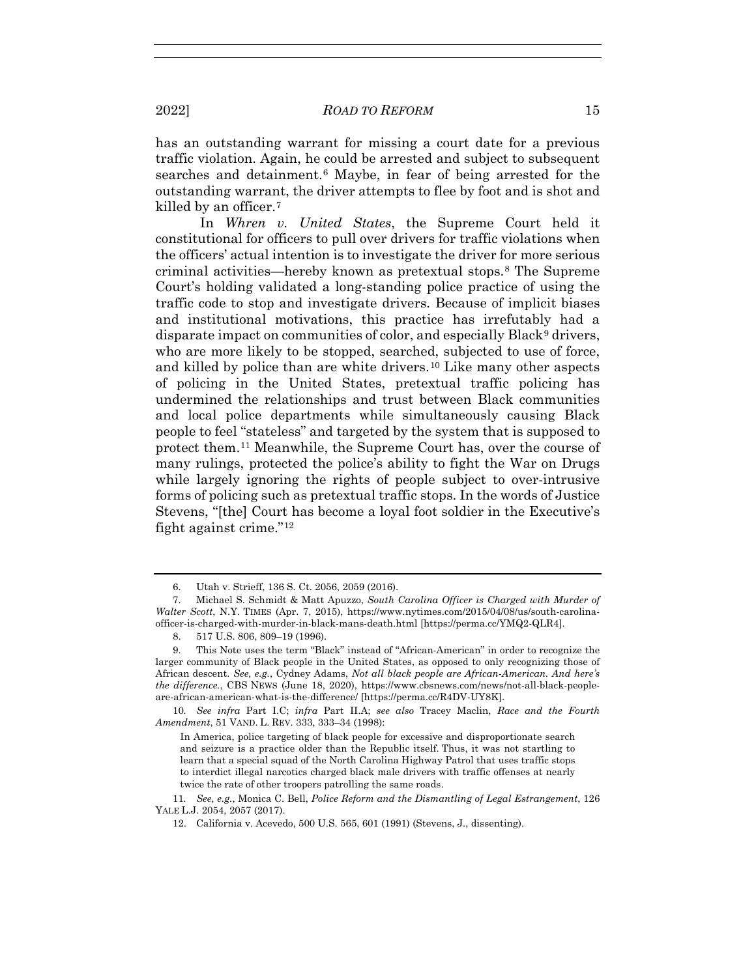has an outstanding warrant for missing a court date for a previous traffic violation. Again, he could be arrested and subject to subsequent searches and detainment.<sup>6</sup> Maybe, in fear of being arrested for the outstanding warrant, the driver attempts to flee by foot and is shot and killed by an officer.7

In *Whren v. United States*, the Supreme Court held it constitutional for officers to pull over drivers for traffic violations when the officers' actual intention is to investigate the driver for more serious criminal activities—hereby known as pretextual stops.8 The Supreme Court's holding validated a long-standing police practice of using the traffic code to stop and investigate drivers. Because of implicit biases and institutional motivations, this practice has irrefutably had a disparate impact on communities of color, and especially Black<sup>9</sup> drivers, who are more likely to be stopped, searched, subjected to use of force, and killed by police than are white drivers.10 Like many other aspects of policing in the United States, pretextual traffic policing has undermined the relationships and trust between Black communities and local police departments while simultaneously causing Black people to feel "stateless" and targeted by the system that is supposed to protect them.11 Meanwhile, the Supreme Court has, over the course of many rulings, protected the police's ability to fight the War on Drugs while largely ignoring the rights of people subject to over-intrusive forms of policing such as pretextual traffic stops. In the words of Justice Stevens, "[the] Court has become a loyal foot soldier in the Executive's fight against crime."12

10*. See infra* Part I.C; *infra* Part II.A; *see also* Tracey Maclin, *Race and the Fourth Amendment*, 51 VAND. L. REV. 333, 333–34 (1998):

In America, police targeting of black people for excessive and disproportionate search and seizure is a practice older than the Republic itself. Thus, it was not startling to learn that a special squad of the North Carolina Highway Patrol that uses traffic stops to interdict illegal narcotics charged black male drivers with traffic offenses at nearly twice the rate of other troopers patrolling the same roads.

11*. See, e.g.*, Monica C. Bell, *Police Reform and the Dismantling of Legal Estrangement*, 126 YALE L.J. 2054, 2057 (2017).

 <sup>6.</sup> Utah v. Strieff, 136 S. Ct. 2056, 2059 (2016).

 <sup>7.</sup> Michael S. Schmidt & Matt Apuzzo, *South Carolina Officer is Charged with Murder of Walter Scott*, N.Y. TIMES (Apr. 7, 2015), https://www.nytimes.com/2015/04/08/us/south-carolinaofficer-is-charged-with-murder-in-black-mans-death.html [https://perma.cc/YMQ2-QLR4].

 <sup>8. 517</sup> U.S. 806, 809–19 (1996).

 <sup>9.</sup> This Note uses the term "Black" instead of "African-American" in order to recognize the larger community of Black people in the United States, as opposed to only recognizing those of African descent. *See, e.g.*, Cydney Adams, *Not all black people are African-American. And here's the difference.*, CBS NEWS (June 18, 2020), https://www.cbsnews.com/news/not-all-black-peopleare-african-american-what-is-the-difference/ [https://perma.cc/R4DV-UY8K].

 <sup>12.</sup> California v. Acevedo, 500 U.S. 565, 601 (1991) (Stevens, J., dissenting).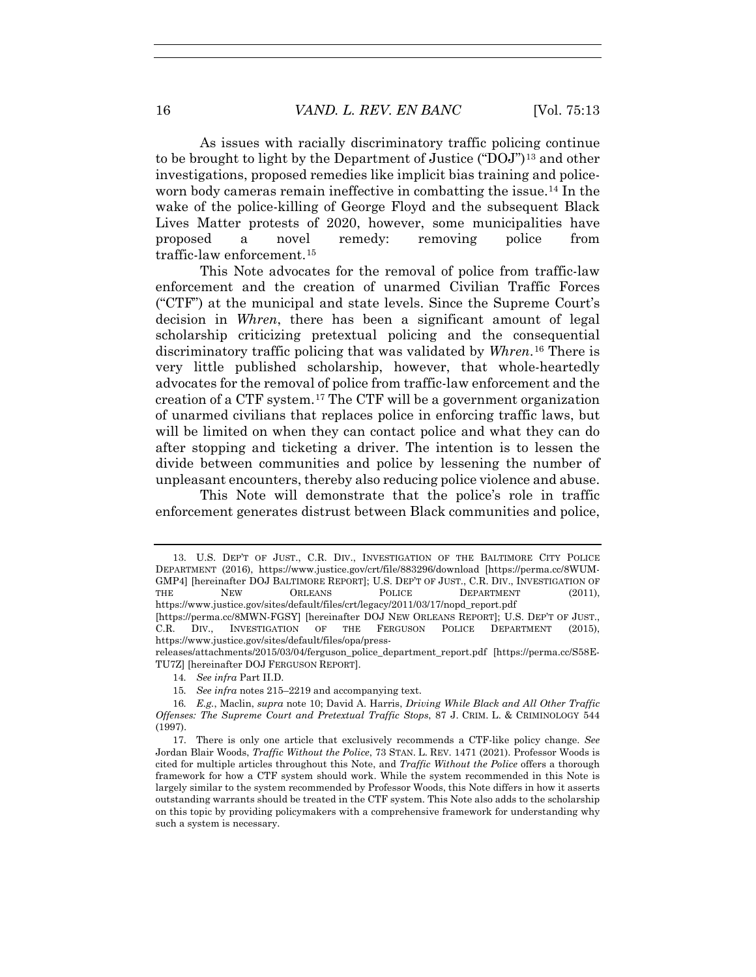As issues with racially discriminatory traffic policing continue to be brought to light by the Department of Justice (" $DQJ$ ")<sup>13</sup> and other investigations, proposed remedies like implicit bias training and policeworn body cameras remain ineffective in combatting the issue.14 In the wake of the police-killing of George Floyd and the subsequent Black Lives Matter protests of 2020, however, some municipalities have proposed a novel remedy: removing police from traffic-law enforcement.15

This Note advocates for the removal of police from traffic-law enforcement and the creation of unarmed Civilian Traffic Forces ("CTF") at the municipal and state levels. Since the Supreme Court's decision in *Whren*, there has been a significant amount of legal scholarship criticizing pretextual policing and the consequential discriminatory traffic policing that was validated by *Whren*.16 There is very little published scholarship, however, that whole-heartedly advocates for the removal of police from traffic-law enforcement and the creation of a CTF system.17 The CTF will be a government organization of unarmed civilians that replaces police in enforcing traffic laws, but will be limited on when they can contact police and what they can do after stopping and ticketing a driver. The intention is to lessen the divide between communities and police by lessening the number of unpleasant encounters, thereby also reducing police violence and abuse.

This Note will demonstrate that the police's role in traffic enforcement generates distrust between Black communities and police,

14*. See infra* Part II.D.

 <sup>13.</sup> U.S. DEP'T OF JUST., C.R. DIV., INVESTIGATION OF THE BALTIMORE CITY POLICE DEPARTMENT (2016), https://www.justice.gov/crt/file/883296/download [https://perma.cc/8WUM-GMP4] [hereinafter DOJ BALTIMORE REPORT]; U.S. DEP'T OF JUST., C.R. DIV., INVESTIGATION OF THE NEW ORLEANS POLICE DEPARTMENT (2011), https://www.justice.gov/sites/default/files/crt/legacy/2011/03/17/nopd\_report.pdf

<sup>[</sup>https://perma.cc/8MWN-FGSY] [hereinafter DOJ NEW ORLEANS REPORT]; U.S. DEP'T OF JUST., C.R. DIV., INVESTIGATION OF THE FERGUSON POLICE DEPARTMENT (2015), https://www.justice.gov/sites/default/files/opa/press-

releases/attachments/2015/03/04/ferguson\_police\_department\_report.pdf [https://perma.cc/S58E-TU7Z] [hereinafter DOJ FERGUSON REPORT].

<sup>15</sup>*. See infra* notes 215–2219 and accompanying text.

<sup>16</sup>*. E.g.*, Maclin, *supra* note 10; David A. Harris, *Driving While Black and All Other Traffic Offenses: The Supreme Court and Pretextual Traffic Stops*, 87 J. CRIM. L. & CRIMINOLOGY 544 (1997).

 <sup>17.</sup> There is only one article that exclusively recommends a CTF-like policy change. *See*  Jordan Blair Woods, *Traffic Without the Police*, 73 STAN. L. REV. 1471 (2021). Professor Woods is cited for multiple articles throughout this Note, and *Traffic Without the Police* offers a thorough framework for how a CTF system should work. While the system recommended in this Note is largely similar to the system recommended by Professor Woods, this Note differs in how it asserts outstanding warrants should be treated in the CTF system. This Note also adds to the scholarship on this topic by providing policymakers with a comprehensive framework for understanding why such a system is necessary.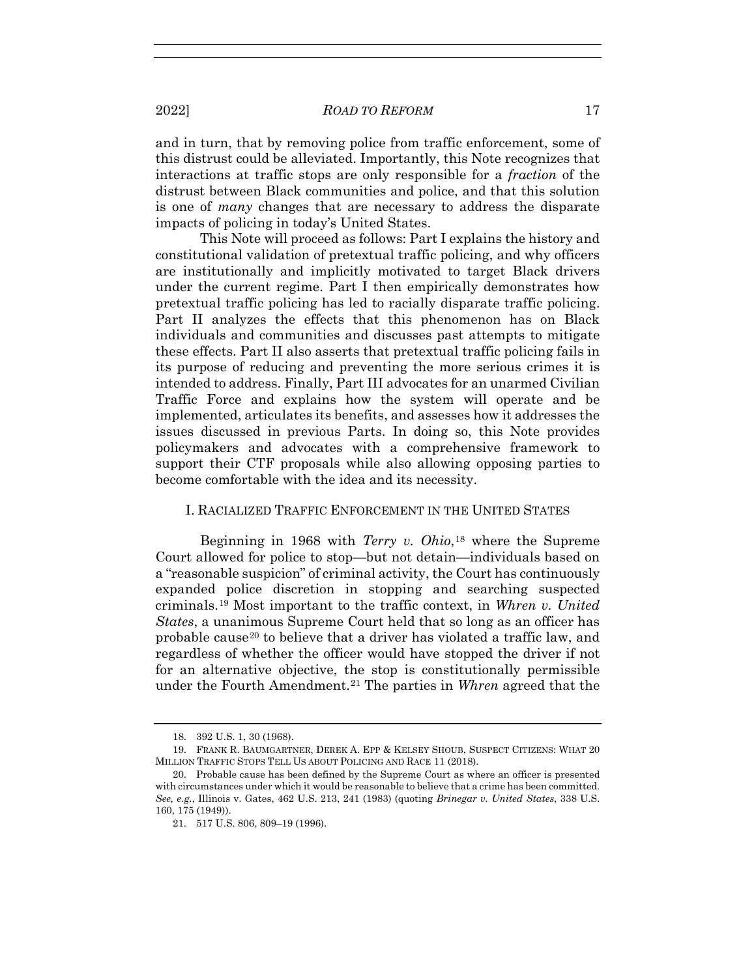and in turn, that by removing police from traffic enforcement, some of this distrust could be alleviated. Importantly, this Note recognizes that interactions at traffic stops are only responsible for a *fraction* of the distrust between Black communities and police, and that this solution is one of *many* changes that are necessary to address the disparate impacts of policing in today's United States.

This Note will proceed as follows: Part I explains the history and constitutional validation of pretextual traffic policing, and why officers are institutionally and implicitly motivated to target Black drivers under the current regime. Part I then empirically demonstrates how pretextual traffic policing has led to racially disparate traffic policing. Part II analyzes the effects that this phenomenon has on Black individuals and communities and discusses past attempts to mitigate these effects. Part II also asserts that pretextual traffic policing fails in its purpose of reducing and preventing the more serious crimes it is intended to address. Finally, Part III advocates for an unarmed Civilian Traffic Force and explains how the system will operate and be implemented, articulates its benefits, and assesses how it addresses the issues discussed in previous Parts. In doing so, this Note provides policymakers and advocates with a comprehensive framework to support their CTF proposals while also allowing opposing parties to become comfortable with the idea and its necessity.

# I. RACIALIZED TRAFFIC ENFORCEMENT IN THE UNITED STATES

Beginning in 1968 with *Terry v. Ohio*,18 where the Supreme Court allowed for police to stop—but not detain—individuals based on a "reasonable suspicion" of criminal activity, the Court has continuously expanded police discretion in stopping and searching suspected criminals.19 Most important to the traffic context, in *Whren v. United States*, a unanimous Supreme Court held that so long as an officer has probable cause20 to believe that a driver has violated a traffic law, and regardless of whether the officer would have stopped the driver if not for an alternative objective, the stop is constitutionally permissible under the Fourth Amendment.21 The parties in *Whren* agreed that the

 <sup>18. 392</sup> U.S. 1, 30 (1968).

 <sup>19.</sup> FRANK R. BAUMGARTNER, DEREK A. EPP & KELSEY SHOUB, SUSPECT CITIZENS: WHAT 20 MILLION TRAFFIC STOPS TELL US ABOUT POLICING AND RACE 11 (2018).

 <sup>20.</sup> Probable cause has been defined by the Supreme Court as where an officer is presented with circumstances under which it would be reasonable to believe that a crime has been committed. *See, e.g.*, Illinois v. Gates, 462 U.S. 213, 241 (1983) (quoting *Brinegar v. United States*, 338 U.S. 160, 175 (1949)).

 <sup>21. 517</sup> U.S. 806, 809–19 (1996).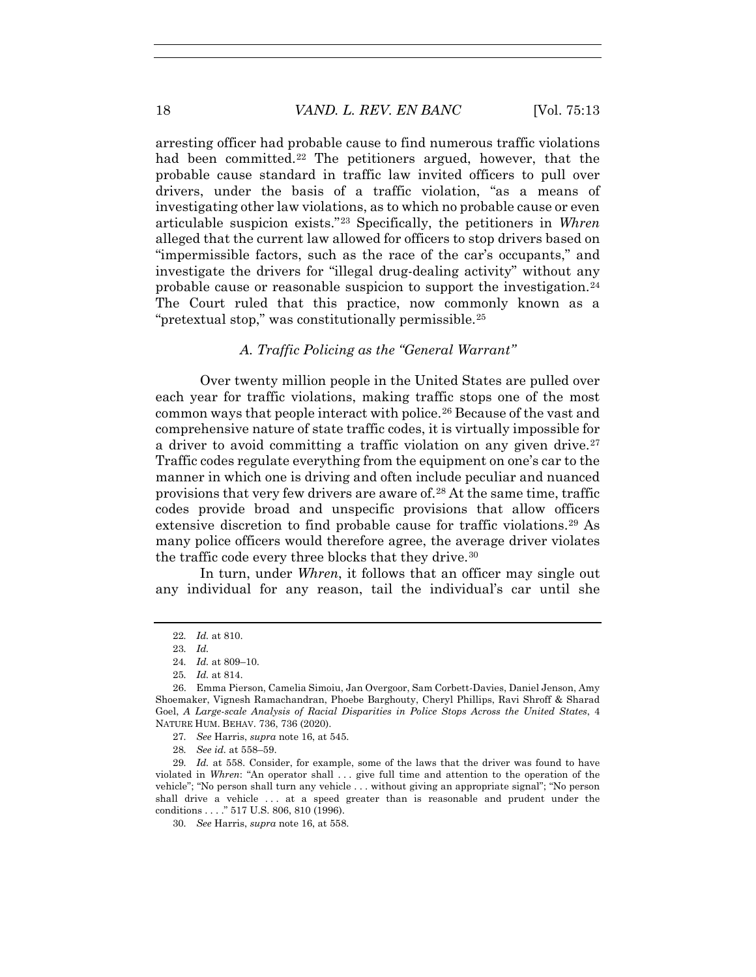arresting officer had probable cause to find numerous traffic violations had been committed.<sup>22</sup> The petitioners argued, however, that the probable cause standard in traffic law invited officers to pull over drivers, under the basis of a traffic violation, "as a means of investigating other law violations, as to which no probable cause or even articulable suspicion exists."23 Specifically, the petitioners in *Whren* alleged that the current law allowed for officers to stop drivers based on "impermissible factors, such as the race of the car's occupants," and investigate the drivers for "illegal drug-dealing activity" without any probable cause or reasonable suspicion to support the investigation.24 The Court ruled that this practice, now commonly known as a "pretextual stop," was constitutionally permissible.25

## *A. Traffic Policing as the "General Warrant"*

Over twenty million people in the United States are pulled over each year for traffic violations, making traffic stops one of the most common ways that people interact with police.26 Because of the vast and comprehensive nature of state traffic codes, it is virtually impossible for a driver to avoid committing a traffic violation on any given drive.<sup>27</sup> Traffic codes regulate everything from the equipment on one's car to the manner in which one is driving and often include peculiar and nuanced provisions that very few drivers are aware of.28 At the same time, traffic codes provide broad and unspecific provisions that allow officers extensive discretion to find probable cause for traffic violations.<sup>29</sup> As many police officers would therefore agree, the average driver violates the traffic code every three blocks that they drive.<sup>30</sup>

In turn, under *Whren*, it follows that an officer may single out any individual for any reason, tail the individual's car until she

27*. See* Harris, *supra* note 16, at 545.

28*. See id.* at 558–59.

29*. Id.* at 558. Consider, for example, some of the laws that the driver was found to have violated in *Whren*: "An operator shall . . . give full time and attention to the operation of the vehicle"; "No person shall turn any vehicle . . . without giving an appropriate signal"; "No person shall drive a vehicle . . . at a speed greater than is reasonable and prudent under the conditions . . . ." 517 U.S. 806, 810 (1996).

30*. See* Harris, *supra* note 16, at 558.

<sup>22</sup>*. Id.* at 810.

<sup>23</sup>*. Id.*

<sup>24</sup>*. Id.* at 809–10.

<sup>25</sup>*. Id.* at 814.

 <sup>26.</sup> Emma Pierson, Camelia Simoiu, Jan Overgoor, Sam Corbett-Davies, Daniel Jenson, Amy Shoemaker, Vignesh Ramachandran, Phoebe Barghouty, Cheryl Phillips, Ravi Shroff & Sharad Goel, *A Large-scale Analysis of Racial Disparities in Police Stops Across the United States*, 4 NATURE HUM. BEHAV. 736, 736 (2020).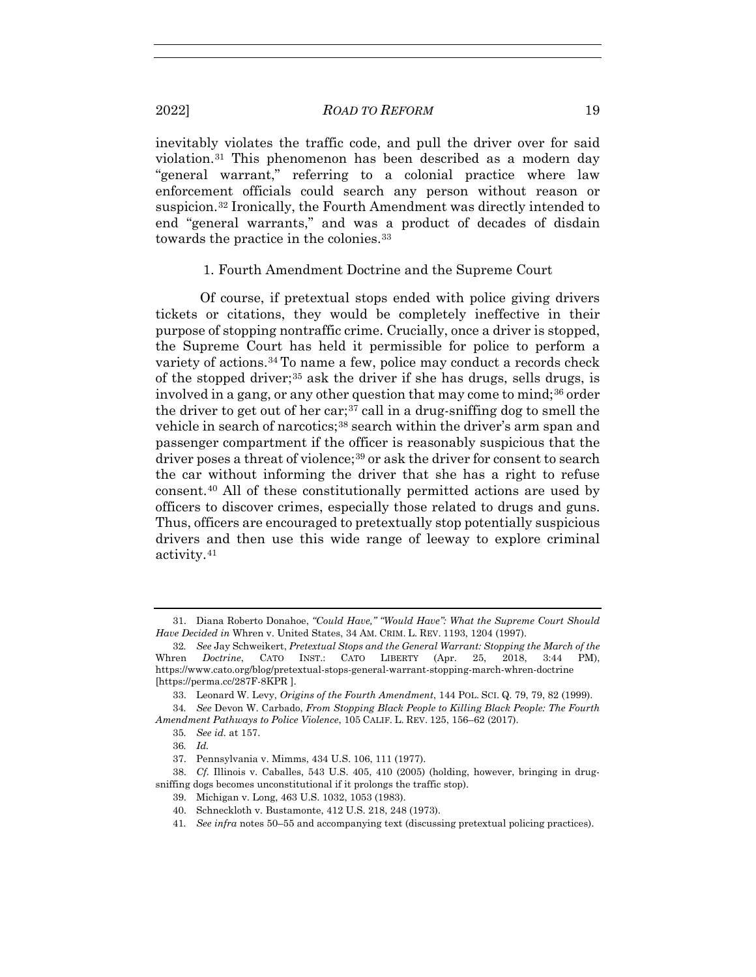inevitably violates the traffic code, and pull the driver over for said violation.31 This phenomenon has been described as a modern day "general warrant," referring to a colonial practice where law enforcement officials could search any person without reason or suspicion.32 Ironically, the Fourth Amendment was directly intended to end "general warrants," and was a product of decades of disdain towards the practice in the colonies.<sup>33</sup>

### 1. Fourth Amendment Doctrine and the Supreme Court

Of course, if pretextual stops ended with police giving drivers tickets or citations, they would be completely ineffective in their purpose of stopping nontraffic crime. Crucially, once a driver is stopped, the Supreme Court has held it permissible for police to perform a variety of actions.34 To name a few, police may conduct a records check of the stopped driver;35 ask the driver if she has drugs, sells drugs, is involved in a gang, or any other question that may come to mind;<sup>36</sup> order the driver to get out of her car;37 call in a drug-sniffing dog to smell the vehicle in search of narcotics;38 search within the driver's arm span and passenger compartment if the officer is reasonably suspicious that the driver poses a threat of violence;<sup>39</sup> or ask the driver for consent to search the car without informing the driver that she has a right to refuse consent.40 All of these constitutionally permitted actions are used by officers to discover crimes, especially those related to drugs and guns. Thus, officers are encouraged to pretextually stop potentially suspicious drivers and then use this wide range of leeway to explore criminal activity.41

 <sup>31.</sup> Diana Roberto Donahoe, *"Could Have," "Would Have": What the Supreme Court Should Have Decided in* Whren v. United States, 34 AM. CRIM. L. REV. 1193, 1204 (1997).

<sup>32</sup>*. See* Jay Schweikert, *Pretextual Stops and the General Warrant: Stopping the March of the*  Whren *Doctrine*, CATO INST.: CATO LIBERTY (Apr. 25, 2018, 3:44 PM), https://www.cato.org/blog/pretextual-stops-general-warrant-stopping-march-whren-doctrine [https://perma.cc/287F-8KPR ].

 <sup>33.</sup> Leonard W. Levy, *Origins of the Fourth Amendment*, 144 POL. SCI. Q. 79, 79, 82 (1999).

<sup>34</sup>*. See* Devon W. Carbado, *From Stopping Black People to Killing Black People: The Fourth Amendment Pathways to Police Violence*, 105 CALIF. L. REV. 125, 156–62 (2017).

<sup>35</sup>*. See id.* at 157.

<sup>36</sup>*. Id.*

 <sup>37.</sup> Pennsylvania v. Mimms, 434 U.S. 106, 111 (1977).

 <sup>38.</sup> *Cf.* Illinois v. Caballes, 543 U.S. 405, 410 (2005) (holding, however, bringing in drugsniffing dogs becomes unconstitutional if it prolongs the traffic stop).

 <sup>39.</sup> Michigan v. Long, 463 U.S. 1032, 1053 (1983).

 <sup>40.</sup> Schneckloth v. Bustamonte, 412 U.S. 218, 248 (1973).

<sup>41</sup>*. See infra* notes 50–55 and accompanying text (discussing pretextual policing practices).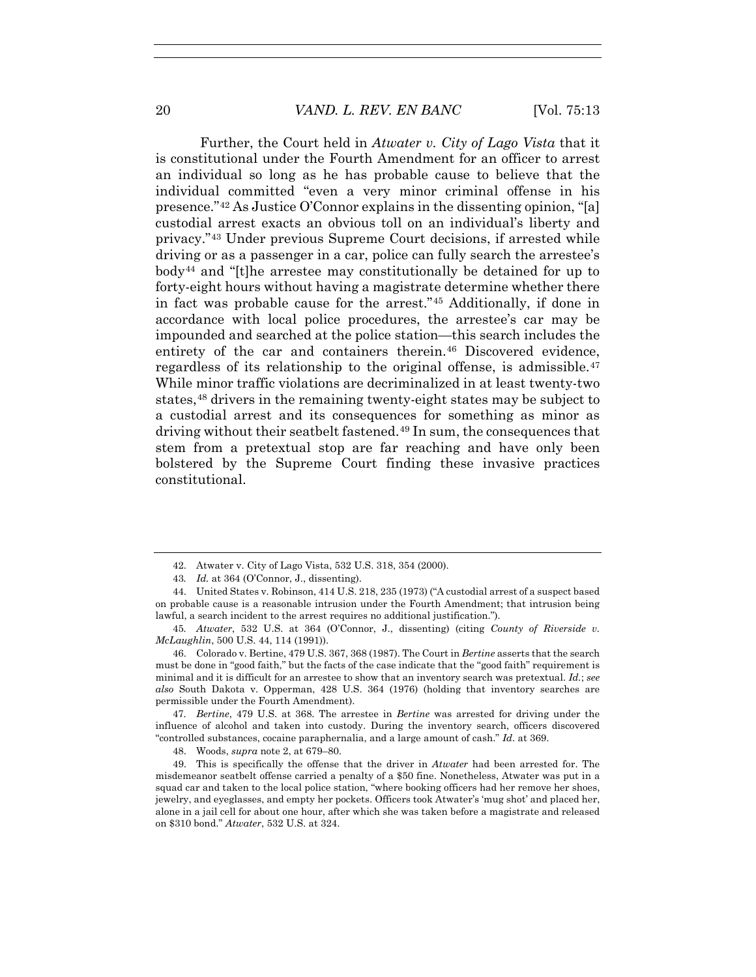Further, the Court held in *Atwater v. City of Lago Vista* that it is constitutional under the Fourth Amendment for an officer to arrest an individual so long as he has probable cause to believe that the individual committed "even a very minor criminal offense in his presence."<sup>42</sup> As Justice O'Connor explains in the dissenting opinion, "[a] custodial arrest exacts an obvious toll on an individual's liberty and privacy."43 Under previous Supreme Court decisions, if arrested while driving or as a passenger in a car, police can fully search the arrestee's  $body<sup>44</sup>$  and "[t]he arrestee may constitutionally be detained for up to forty-eight hours without having a magistrate determine whether there in fact was probable cause for the arrest."45 Additionally, if done in accordance with local police procedures, the arrestee's car may be impounded and searched at the police station—this search includes the entirety of the car and containers therein.<sup>46</sup> Discovered evidence, regardless of its relationship to the original offense, is admissible.47 While minor traffic violations are decriminalized in at least twenty-two states,48 drivers in the remaining twenty-eight states may be subject to a custodial arrest and its consequences for something as minor as driving without their seatbelt fastened.49 In sum, the consequences that stem from a pretextual stop are far reaching and have only been bolstered by the Supreme Court finding these invasive practices constitutional.

47*. Bertine*, 479 U.S. at 368. The arrestee in *Bertine* was arrested for driving under the influence of alcohol and taken into custody. During the inventory search, officers discovered "controlled substances, cocaine paraphernalia, and a large amount of cash." *Id*. at 369.

48. Woods, *supra* note 2, at 679–80.

 <sup>42.</sup> Atwater v. City of Lago Vista, 532 U.S. 318, 354 (2000).

<sup>43</sup>*. Id.* at 364 (O'Connor, J., dissenting).

 <sup>44.</sup> United States v. Robinson, 414 U.S. 218, 235 (1973) ("A custodial arrest of a suspect based on probable cause is a reasonable intrusion under the Fourth Amendment; that intrusion being lawful, a search incident to the arrest requires no additional justification.").

<sup>45</sup>*. Atwater*, 532 U.S. at 364 (O'Connor, J., dissenting) (citing *County of Riverside v. McLaughlin*, 500 U.S. 44, 114 (1991)).

 <sup>46.</sup> Colorado v. Bertine, 479 U.S. 367, 368 (1987). The Court in *Bertine* asserts that the search must be done in "good faith," but the facts of the case indicate that the "good faith" requirement is minimal and it is difficult for an arrestee to show that an inventory search was pretextual. *Id.*; *see also* South Dakota v. Opperman, 428 U.S. 364 (1976) (holding that inventory searches are permissible under the Fourth Amendment).

 <sup>49.</sup> This is specifically the offense that the driver in *Atwater* had been arrested for. The misdemeanor seatbelt offense carried a penalty of a \$50 fine. Nonetheless, Atwater was put in a squad car and taken to the local police station, "where booking officers had her remove her shoes, jewelry, and eyeglasses, and empty her pockets. Officers took Atwater's 'mug shot' and placed her, alone in a jail cell for about one hour, after which she was taken before a magistrate and released on \$310 bond." *Atwater*, 532 U.S. at 324.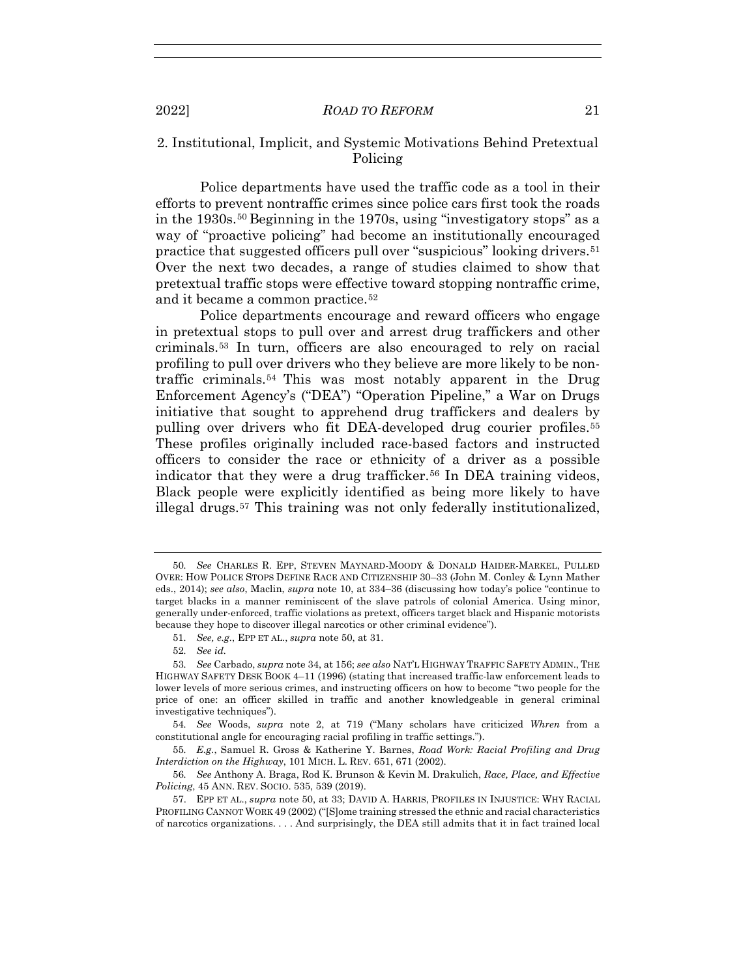# 2. Institutional, Implicit, and Systemic Motivations Behind Pretextual Policing

Police departments have used the traffic code as a tool in their efforts to prevent nontraffic crimes since police cars first took the roads in the 1930s.50 Beginning in the 1970s, using "investigatory stops" as a way of "proactive policing" had become an institutionally encouraged practice that suggested officers pull over "suspicious" looking drivers.51 Over the next two decades, a range of studies claimed to show that pretextual traffic stops were effective toward stopping nontraffic crime, and it became a common practice.<sup>52</sup>

Police departments encourage and reward officers who engage in pretextual stops to pull over and arrest drug traffickers and other criminals.53 In turn, officers are also encouraged to rely on racial profiling to pull over drivers who they believe are more likely to be nontraffic criminals.54 This was most notably apparent in the Drug Enforcement Agency's ("DEA") "Operation Pipeline," a War on Drugs initiative that sought to apprehend drug traffickers and dealers by pulling over drivers who fit DEA-developed drug courier profiles.55 These profiles originally included race-based factors and instructed officers to consider the race or ethnicity of a driver as a possible indicator that they were a drug trafficker.<sup>56</sup> In DEA training videos, Black people were explicitly identified as being more likely to have illegal drugs.57 This training was not only federally institutionalized,

<sup>50</sup>*. See* CHARLES R. EPP, STEVEN MAYNARD-MOODY & DONALD HAIDER-MARKEL, PULLED OVER: HOW POLICE STOPS DEFINE RACE AND CITIZENSHIP 30–33 (John M. Conley & Lynn Mather eds., 2014); *see also*, Maclin, *supra* note 10, at 334–36 (discussing how today's police "continue to target blacks in a manner reminiscent of the slave patrols of colonial America. Using minor, generally under-enforced, traffic violations as pretext, officers target black and Hispanic motorists because they hope to discover illegal narcotics or other criminal evidence").

<sup>51</sup>*. See, e.g.*, EPP ET AL., *supra* note 50, at 31.

<sup>52</sup>*. See id.*

<sup>53</sup>*. See* Carbado, *supra* note 34, at 156; *see also* NAT'L HIGHWAY TRAFFIC SAFETY ADMIN., THE HIGHWAY SAFETY DESK BOOK 4–11 (1996) (stating that increased traffic-law enforcement leads to lower levels of more serious crimes, and instructing officers on how to become "two people for the price of one: an officer skilled in traffic and another knowledgeable in general criminal investigative techniques").

<sup>54</sup>*. See* Woods, *supra* note 2, at 719 ("Many scholars have criticized *Whren* from a constitutional angle for encouraging racial profiling in traffic settings.").

<sup>55</sup>*. E.g.*, Samuel R. Gross & Katherine Y. Barnes, *Road Work: Racial Profiling and Drug Interdiction on the Highway*, 101 MICH. L. REV. 651, 671 (2002).

<sup>56</sup>*. See* Anthony A. Braga, Rod K. Brunson & Kevin M. Drakulich, *Race, Place, and Effective Policing*, 45 ANN. REV. SOCIO. 535, 539 (2019).

 <sup>57.</sup> EPP ET AL., *supra* note 50, at 33; DAVID A. HARRIS, PROFILES IN INJUSTICE: WHY RACIAL PROFILING CANNOT WORK 49 (2002) ("[S]ome training stressed the ethnic and racial characteristics of narcotics organizations. . . . And surprisingly, the DEA still admits that it in fact trained local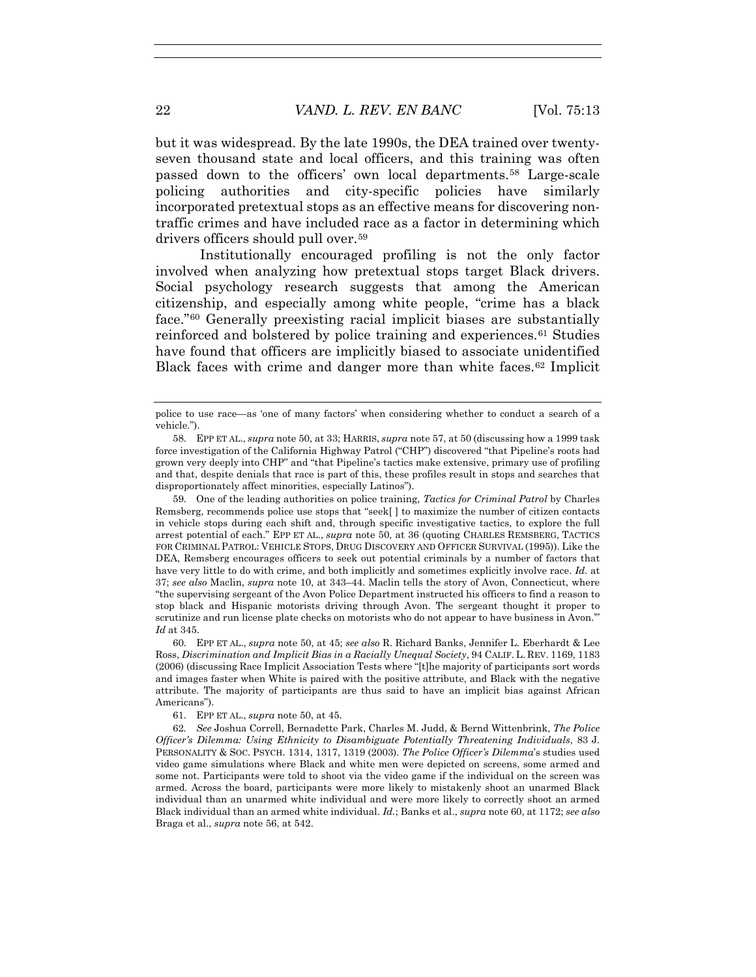but it was widespread. By the late 1990s, the DEA trained over twentyseven thousand state and local officers, and this training was often passed down to the officers' own local departments.58 Large-scale policing authorities and city-specific policies have similarly incorporated pretextual stops as an effective means for discovering nontraffic crimes and have included race as a factor in determining which drivers officers should pull over.59

Institutionally encouraged profiling is not the only factor involved when analyzing how pretextual stops target Black drivers. Social psychology research suggests that among the American citizenship, and especially among white people, "crime has a black face."60 Generally preexisting racial implicit biases are substantially reinforced and bolstered by police training and experiences.61 Studies have found that officers are implicitly biased to associate unidentified Black faces with crime and danger more than white faces.<sup>62</sup> Implicit

 59. One of the leading authorities on police training, *Tactics for Criminal Patrol* by Charles Remsberg, recommends police use stops that "seek[ ] to maximize the number of citizen contacts in vehicle stops during each shift and, through specific investigative tactics, to explore the full arrest potential of each." EPP ET AL., *supra* note 50, at 36 (quoting CHARLES REMSBERG, TACTICS FOR CRIMINAL PATROL: VEHICLE STOPS, DRUG DISCOVERY AND OFFICER SURVIVAL (1995)). Like the DEA, Remsberg encourages officers to seek out potential criminals by a number of factors that have very little to do with crime, and both implicitly and sometimes explicitly involve race. *Id.* at 37; *see also* Maclin, *supra* note 10, at 343–44. Maclin tells the story of Avon, Connecticut, where "the supervising sergeant of the Avon Police Department instructed his officers to find a reason to stop black and Hispanic motorists driving through Avon. The sergeant thought it proper to scrutinize and run license plate checks on motorists who do not appear to have business in Avon.'" *Id* at 345.

 60. EPP ET AL., *supra* note 50, at 45; *see also* R. Richard Banks, Jennifer L. Eberhardt & Lee Ross, *Discrimination and Implicit Bias in a Racially Unequal Society*, 94 CALIF. L. REV. 1169, 1183 (2006) (discussing Race Implicit Association Tests where "[t]he majority of participants sort words and images faster when White is paired with the positive attribute, and Black with the negative attribute. The majority of participants are thus said to have an implicit bias against African Americans").

police to use race—as 'one of many factors' when considering whether to conduct a search of a vehicle.").

 <sup>58.</sup> EPP ET AL., *supra* note 50, at 33; HARRIS, *supra* note 57, at 50 (discussing how a 1999 task force investigation of the California Highway Patrol ("CHP") discovered "that Pipeline's roots had grown very deeply into CHP" and "that Pipeline's tactics make extensive, primary use of profiling and that, despite denials that race is part of this, these profiles result in stops and searches that disproportionately affect minorities, especially Latinos").

 <sup>61.</sup> EPP ET AL., *supra* note 50, at 45.

<sup>62</sup>*. See* Joshua Correll, Bernadette Park, Charles M. Judd, & Bernd Wittenbrink, *The Police Officer's Dilemma: Using Ethnicity to Disambiguate Potentially Threatening Individuals*, 83 J. PERSONALITY & SOC. PSYCH. 1314, 1317, 1319 (2003). *The Police Officer's Dilemma*'s studies used video game simulations where Black and white men were depicted on screens, some armed and some not. Participants were told to shoot via the video game if the individual on the screen was armed. Across the board, participants were more likely to mistakenly shoot an unarmed Black individual than an unarmed white individual and were more likely to correctly shoot an armed Black individual than an armed white individual. *Id.*; Banks et al., *supra* note 60, at 1172; *see also* Braga et al., *supra* note 56, at 542.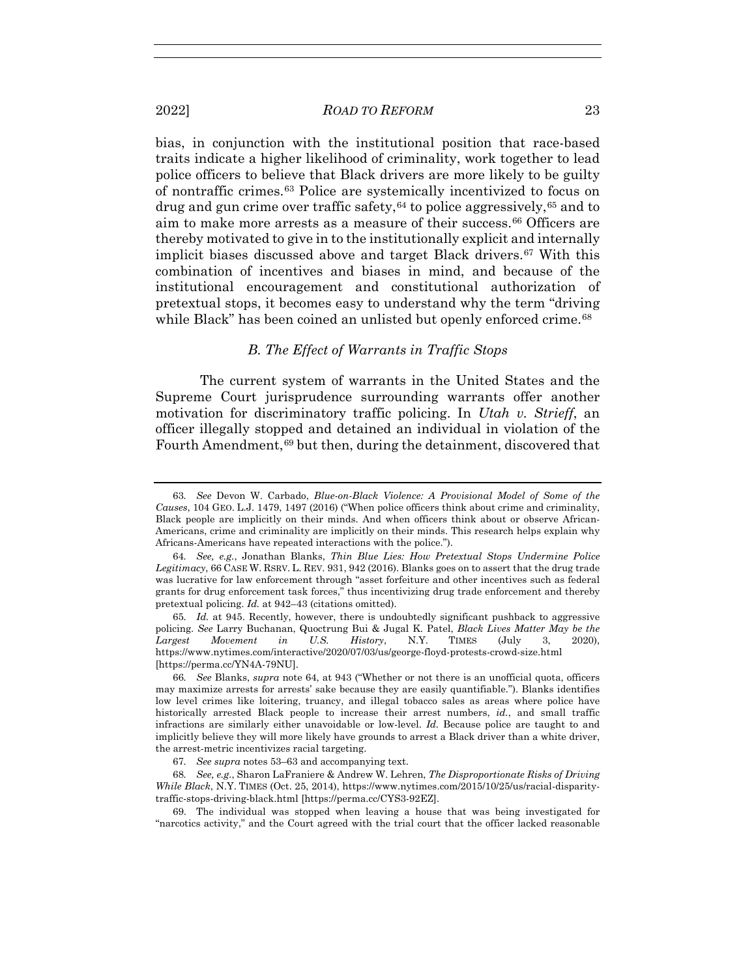2022] *ROAD TO REFORM* 23

bias, in conjunction with the institutional position that race-based traits indicate a higher likelihood of criminality, work together to lead police officers to believe that Black drivers are more likely to be guilty of nontraffic crimes.63 Police are systemically incentivized to focus on drug and gun crime over traffic safety,  $64$  to police aggressively,  $65$  and to aim to make more arrests as a measure of their success.66 Officers are thereby motivated to give in to the institutionally explicit and internally implicit biases discussed above and target Black drivers.<sup>67</sup> With this combination of incentives and biases in mind, and because of the institutional encouragement and constitutional authorization of pretextual stops, it becomes easy to understand why the term "driving while Black" has been coined an unlisted but openly enforced crime.<sup>68</sup>

# *B. The Effect of Warrants in Traffic Stops*

The current system of warrants in the United States and the Supreme Court jurisprudence surrounding warrants offer another motivation for discriminatory traffic policing. In *Utah v. Strieff*, an officer illegally stopped and detained an individual in violation of the Fourth Amendment,69 but then, during the detainment, discovered that

<sup>63</sup>*. See* Devon W. Carbado, *Blue-on-Black Violence: A Provisional Model of Some of the Causes*, 104 GEO. L.J. 1479, 1497 (2016) ("When police officers think about crime and criminality, Black people are implicitly on their minds. And when officers think about or observe African-Americans, crime and criminality are implicitly on their minds. This research helps explain why Africans-Americans have repeated interactions with the police.").

<sup>64</sup>*. See, e.g.*, Jonathan Blanks, *Thin Blue Lies: How Pretextual Stops Undermine Police Legitimacy*, 66 CASE W. RSRV. L. REV. 931, 942 (2016). Blanks goes on to assert that the drug trade was lucrative for law enforcement through "asset forfeiture and other incentives such as federal grants for drug enforcement task forces," thus incentivizing drug trade enforcement and thereby pretextual policing. *Id.* at 942–43 (citations omitted).

<sup>65</sup>*. Id.* at 945. Recently, however, there is undoubtedly significant pushback to aggressive policing. *See* Larry Buchanan, Quoctrung Bui & Jugal K. Patel, *Black Lives Matter May be the Largest Movement in U.S. History*, N.Y. TIMES (July 3, 2020), https://www.nytimes.com/interactive/2020/07/03/us/george-floyd-protests-crowd-size.html [https://perma.cc/YN4A-79NU].

<sup>66</sup>*. See* Blanks, *supra* note 64, at 943 ("Whether or not there is an unofficial quota, officers may maximize arrests for arrests' sake because they are easily quantifiable."). Blanks identifies low level crimes like loitering, truancy, and illegal tobacco sales as areas where police have historically arrested Black people to increase their arrest numbers, *id.*, and small traffic infractions are similarly either unavoidable or low-level. *Id.* Because police are taught to and implicitly believe they will more likely have grounds to arrest a Black driver than a white driver, the arrest-metric incentivizes racial targeting.

<sup>67</sup>*. See supra* notes 53–63 and accompanying text.

<sup>68</sup>*. See, e.g.*, Sharon LaFraniere & Andrew W. Lehren, *The Disproportionate Risks of Driving While Black*, N.Y. TIMES (Oct. 25, 2014), https://www.nytimes.com/2015/10/25/us/racial-disparitytraffic-stops-driving-black.html [https://perma.cc/CYS3-92EZ].

 <sup>69.</sup> The individual was stopped when leaving a house that was being investigated for "narcotics activity," and the Court agreed with the trial court that the officer lacked reasonable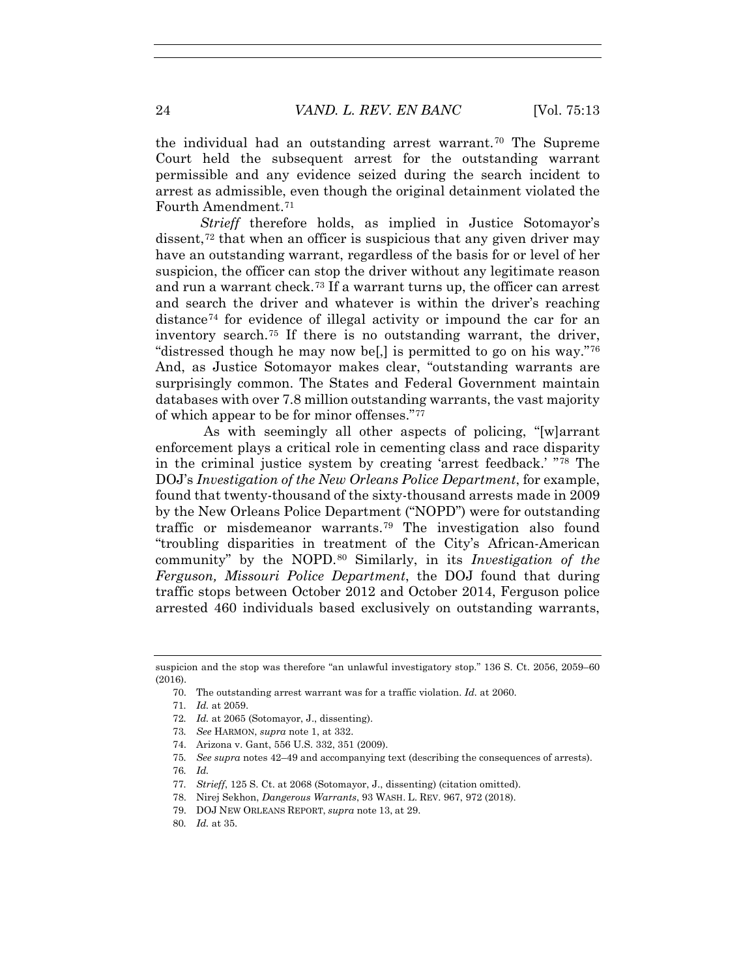the individual had an outstanding arrest warrant.70 The Supreme Court held the subsequent arrest for the outstanding warrant permissible and any evidence seized during the search incident to arrest as admissible, even though the original detainment violated the Fourth Amendment.71

*Strieff* therefore holds, as implied in Justice Sotomayor's dissent,<sup>72</sup> that when an officer is suspicious that any given driver may have an outstanding warrant, regardless of the basis for or level of her suspicion, the officer can stop the driver without any legitimate reason and run a warrant check.73 If a warrant turns up, the officer can arrest and search the driver and whatever is within the driver's reaching distance74 for evidence of illegal activity or impound the car for an inventory search.75 If there is no outstanding warrant, the driver, "distressed though he may now be[,] is permitted to go on his way."76 And, as Justice Sotomayor makes clear, "outstanding warrants are surprisingly common. The States and Federal Government maintain databases with over 7.8 million outstanding warrants, the vast majority of which appear to be for minor offenses."77

As with seemingly all other aspects of policing, "[w]arrant enforcement plays a critical role in cementing class and race disparity in the criminal justice system by creating 'arrest feedback.' "78 The DOJ's *Investigation of the New Orleans Police Department*, for example, found that twenty-thousand of the sixty-thousand arrests made in 2009 by the New Orleans Police Department ("NOPD") were for outstanding traffic or misdemeanor warrants.79 The investigation also found "troubling disparities in treatment of the City's African-American community" by the NOPD.80 Similarly, in its *Investigation of the Ferguson, Missouri Police Department*, the DOJ found that during traffic stops between October 2012 and October 2014, Ferguson police arrested 460 individuals based exclusively on outstanding warrants,

- 73*. See* HARMON, *supra* note 1, at 332.
- 74. Arizona v. Gant, 556 U.S. 332, 351 (2009).

- 76*. Id.*
- 77*. Strieff*, 125 S. Ct. at 2068 (Sotomayor, J., dissenting) (citation omitted).
- 78. Nirej Sekhon, *Dangerous Warrants*, 93 WASH. L. REV. 967, 972 (2018).
- 79. DOJ NEW ORLEANS REPORT, *supra* note 13, at 29.
- 80*. Id.* at 35.

suspicion and the stop was therefore "an unlawful investigatory stop." 136 S. Ct. 2056, 2059–60 (2016).

 <sup>70.</sup> The outstanding arrest warrant was for a traffic violation. *Id.* at 2060.

<sup>71</sup>*. Id.* at 2059.

<sup>72</sup>*. Id.* at 2065 (Sotomayor, J., dissenting).

<sup>75</sup>*. See supra* notes 42–49 and accompanying text (describing the consequences of arrests).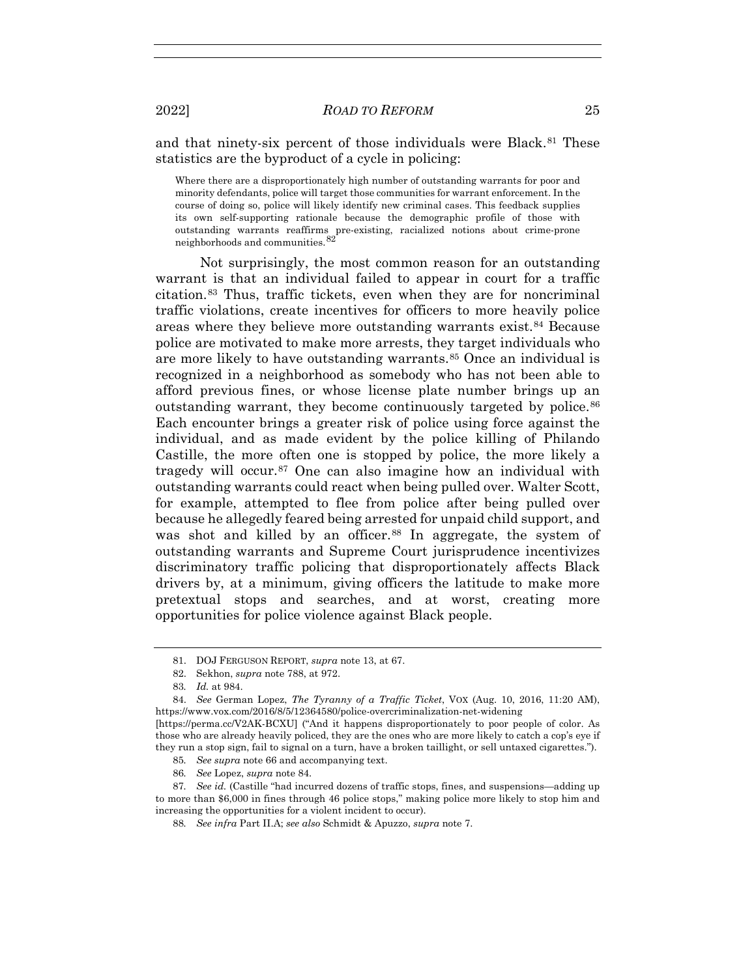and that ninety-six percent of those individuals were Black.<sup>81</sup> These statistics are the byproduct of a cycle in policing:

Where there are a disproportionately high number of outstanding warrants for poor and minority defendants, police will target those communities for warrant enforcement. In the course of doing so, police will likely identify new criminal cases. This feedback supplies its own self-supporting rationale because the demographic profile of those with outstanding warrants reaffirms pre-existing, racialized notions about crime-prone neighborhoods and communities.<sup>82</sup>

Not surprisingly, the most common reason for an outstanding warrant is that an individual failed to appear in court for a traffic citation.83 Thus, traffic tickets, even when they are for noncriminal traffic violations, create incentives for officers to more heavily police areas where they believe more outstanding warrants exist.84 Because police are motivated to make more arrests, they target individuals who are more likely to have outstanding warrants.85 Once an individual is recognized in a neighborhood as somebody who has not been able to afford previous fines, or whose license plate number brings up an outstanding warrant, they become continuously targeted by police.<sup>86</sup> Each encounter brings a greater risk of police using force against the individual, and as made evident by the police killing of Philando Castille, the more often one is stopped by police, the more likely a tragedy will occur.87 One can also imagine how an individual with outstanding warrants could react when being pulled over. Walter Scott, for example, attempted to flee from police after being pulled over because he allegedly feared being arrested for unpaid child support, and was shot and killed by an officer.<sup>88</sup> In aggregate, the system of outstanding warrants and Supreme Court jurisprudence incentivizes discriminatory traffic policing that disproportionately affects Black drivers by, at a minimum, giving officers the latitude to make more pretextual stops and searches, and at worst, creating more opportunities for police violence against Black people.

85*. See supra* note 66 and accompanying text.

86*. See* Lopez, *supra* note 84.

 <sup>81.</sup> DOJ FERGUSON REPORT, *supra* note 13, at 67.

 <sup>82.</sup> Sekhon, *supra* note 788, at 972.

<sup>83</sup>*. Id.* at 984.

 <sup>84.</sup> *See* German Lopez, *The Tyranny of a Traffic Ticket*, VOX (Aug. 10, 2016, 11:20 AM), https://www.vox.com/2016/8/5/12364580/police-overcriminalization-net-widening

<sup>[</sup>https://perma.cc/V2AK-BCXU] ("And it happens disproportionately to poor people of color. As those who are already heavily policed, they are the ones who are more likely to catch a cop's eye if they run a stop sign, fail to signal on a turn, have a broken taillight, or sell untaxed cigarettes.").

<sup>87</sup>*. See id.* (Castille "had incurred dozens of traffic stops, fines, and suspensions—adding up to more than \$6,000 in fines through 46 police stops," making police more likely to stop him and increasing the opportunities for a violent incident to occur).

<sup>88</sup>*. See infra* Part II.A; *see also* Schmidt & Apuzzo, *supra* note 7.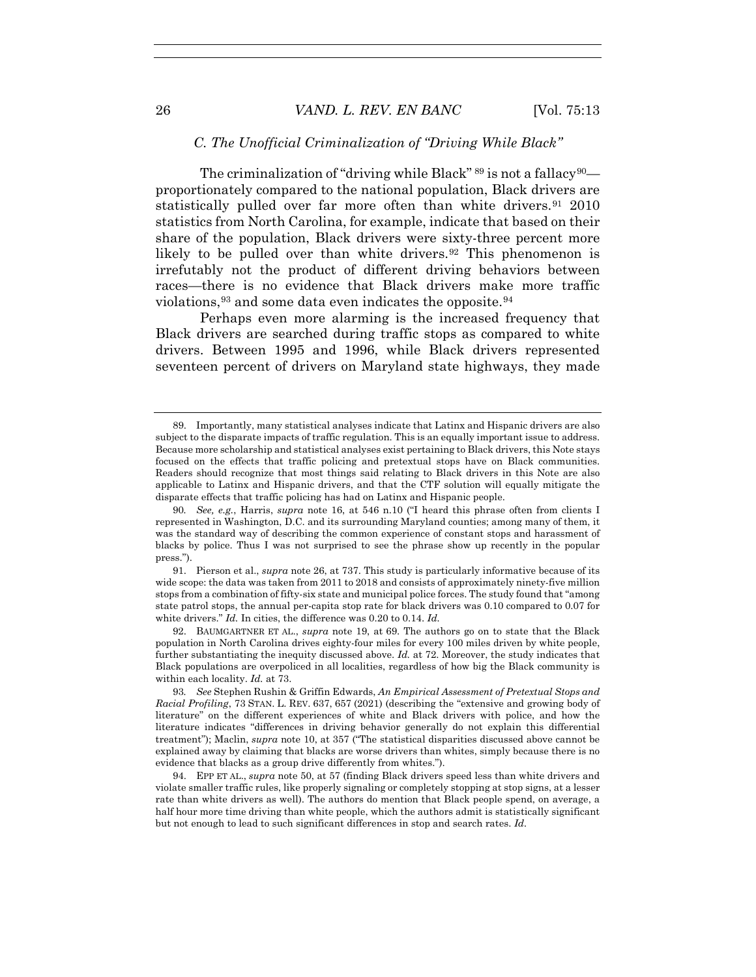#### *C. The Unofficial Criminalization of "Driving While Black"*

The criminalization of "driving while Black"  $89$  is not a fallacy  $90$ proportionately compared to the national population, Black drivers are statistically pulled over far more often than white drivers.<sup>91</sup> 2010 statistics from North Carolina, for example, indicate that based on their share of the population, Black drivers were sixty-three percent more likely to be pulled over than white drivers.<sup>92</sup> This phenomenon is irrefutably not the product of different driving behaviors between races—there is no evidence that Black drivers make more traffic violations,  $93$  and some data even indicates the opposite.  $94$ 

Perhaps even more alarming is the increased frequency that Black drivers are searched during traffic stops as compared to white drivers. Between 1995 and 1996, while Black drivers represented seventeen percent of drivers on Maryland state highways, they made

 91. Pierson et al., *supra* note 26, at 737. This study is particularly informative because of its wide scope: the data was taken from 2011 to 2018 and consists of approximately ninety-five million stops from a combination of fifty-six state and municipal police forces. The study found that "among state patrol stops, the annual per-capita stop rate for black drivers was 0.10 compared to 0.07 for white drivers." *Id.* In cities, the difference was 0.20 to 0.14. *Id.*

 92. BAUMGARTNER ET AL., *supra* note 19, at 69. The authors go on to state that the Black population in North Carolina drives eighty-four miles for every 100 miles driven by white people, further substantiating the inequity discussed above. *Id.* at 72. Moreover, the study indicates that Black populations are overpoliced in all localities, regardless of how big the Black community is within each locality. *Id.* at 73.

93*. See* Stephen Rushin & Griffin Edwards, *An Empirical Assessment of Pretextual Stops and Racial Profiling*, 73 STAN. L. REV. 637, 657 (2021) (describing the "extensive and growing body of literature" on the different experiences of white and Black drivers with police, and how the literature indicates "differences in driving behavior generally do not explain this differential treatment"); Maclin, *supra* note 10, at 357 ("The statistical disparities discussed above cannot be explained away by claiming that blacks are worse drivers than whites, simply because there is no evidence that blacks as a group drive differently from whites.").

 94. EPP ET AL., *supra* note 50, at 57 (finding Black drivers speed less than white drivers and violate smaller traffic rules, like properly signaling or completely stopping at stop signs, at a lesser rate than white drivers as well). The authors do mention that Black people spend, on average, a half hour more time driving than white people, which the authors admit is statistically significant but not enough to lead to such significant differences in stop and search rates. *Id.*

 <sup>89.</sup> Importantly, many statistical analyses indicate that Latinx and Hispanic drivers are also subject to the disparate impacts of traffic regulation. This is an equally important issue to address. Because more scholarship and statistical analyses exist pertaining to Black drivers, this Note stays focused on the effects that traffic policing and pretextual stops have on Black communities. Readers should recognize that most things said relating to Black drivers in this Note are also applicable to Latinx and Hispanic drivers, and that the CTF solution will equally mitigate the disparate effects that traffic policing has had on Latinx and Hispanic people.

<sup>90</sup>*. See, e.g.*, Harris, *supra* note 16, at 546 n.10 ("I heard this phrase often from clients I represented in Washington, D.C. and its surrounding Maryland counties; among many of them, it was the standard way of describing the common experience of constant stops and harassment of blacks by police. Thus I was not surprised to see the phrase show up recently in the popular press.").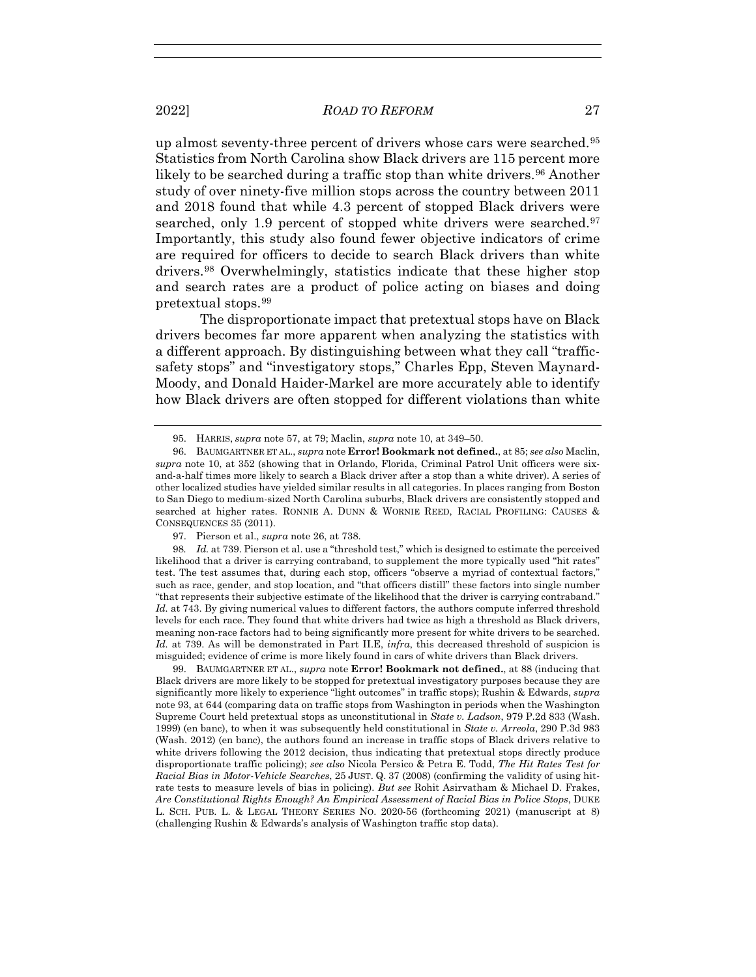up almost seventy-three percent of drivers whose cars were searched.95 Statistics from North Carolina show Black drivers are 115 percent more likely to be searched during a traffic stop than white drivers.<sup>96</sup> Another study of over ninety-five million stops across the country between 2011 and 2018 found that while 4.3 percent of stopped Black drivers were searched, only 1.9 percent of stopped white drivers were searched.<sup>97</sup> Importantly, this study also found fewer objective indicators of crime are required for officers to decide to search Black drivers than white drivers.98 Overwhelmingly, statistics indicate that these higher stop and search rates are a product of police acting on biases and doing pretextual stops.99

The disproportionate impact that pretextual stops have on Black drivers becomes far more apparent when analyzing the statistics with a different approach. By distinguishing between what they call "trafficsafety stops" and "investigatory stops," Charles Epp, Steven Maynard-Moody, and Donald Haider-Markel are more accurately able to identify how Black drivers are often stopped for different violations than white

98*. Id.* at 739. Pierson et al. use a "threshold test," which is designed to estimate the perceived likelihood that a driver is carrying contraband, to supplement the more typically used "hit rates" test. The test assumes that, during each stop, officers "observe a myriad of contextual factors," such as race, gender, and stop location, and "that officers distill" these factors into single number "that represents their subjective estimate of the likelihood that the driver is carrying contraband." *Id.* at 743. By giving numerical values to different factors, the authors compute inferred threshold levels for each race. They found that white drivers had twice as high a threshold as Black drivers, meaning non-race factors had to being significantly more present for white drivers to be searched. *Id.* at 739. As will be demonstrated in Part II.E, *infra*, this decreased threshold of suspicion is misguided; evidence of crime is more likely found in cars of white drivers than Black drivers.

 99. BAUMGARTNER ET AL., *supra* note **Error! Bookmark not defined.**, at 88 (inducing that Black drivers are more likely to be stopped for pretextual investigatory purposes because they are significantly more likely to experience "light outcomes" in traffic stops); Rushin & Edwards, *supra* note 93, at 644 (comparing data on traffic stops from Washington in periods when the Washington Supreme Court held pretextual stops as unconstitutional in *State v. Ladson*, 979 P.2d 833 (Wash. 1999) (en banc), to when it was subsequently held constitutional in *State v. Arreola*, 290 P.3d 983 (Wash. 2012) (en banc), the authors found an increase in traffic stops of Black drivers relative to white drivers following the 2012 decision, thus indicating that pretextual stops directly produce disproportionate traffic policing); *see also* Nicola Persico & Petra E. Todd, *The Hit Rates Test for Racial Bias in Motor-Vehicle Searches*, 25 JUST. Q. 37 (2008) (confirming the validity of using hitrate tests to measure levels of bias in policing). *But see* Rohit Asirvatham & Michael D. Frakes, *Are Constitutional Rights Enough? An Empirical Assessment of Racial Bias in Police Stops*, DUKE L. SCH. PUB. L. & LEGAL THEORY SERIES NO. 2020-56 (forthcoming 2021) (manuscript at 8) (challenging Rushin & Edwards's analysis of Washington traffic stop data).

 <sup>95.</sup> HARRIS, *supra* note 57, at 79; Maclin, *supra* note 10, at 349–50.

 <sup>96.</sup> BAUMGARTNER ET AL., *supra* note **Error! Bookmark not defined.**, at 85; *see also* Maclin, *supra* note 10, at 352 (showing that in Orlando, Florida, Criminal Patrol Unit officers were sixand-a-half times more likely to search a Black driver after a stop than a white driver). A series of other localized studies have yielded similar results in all categories. In places ranging from Boston to San Diego to medium-sized North Carolina suburbs, Black drivers are consistently stopped and searched at higher rates. RONNIE A. DUNN & WORNIE REED, RACIAL PROFILING: CAUSES & CONSEQUENCES 35 (2011).

 <sup>97.</sup> Pierson et al., *supra* note 26, at 738.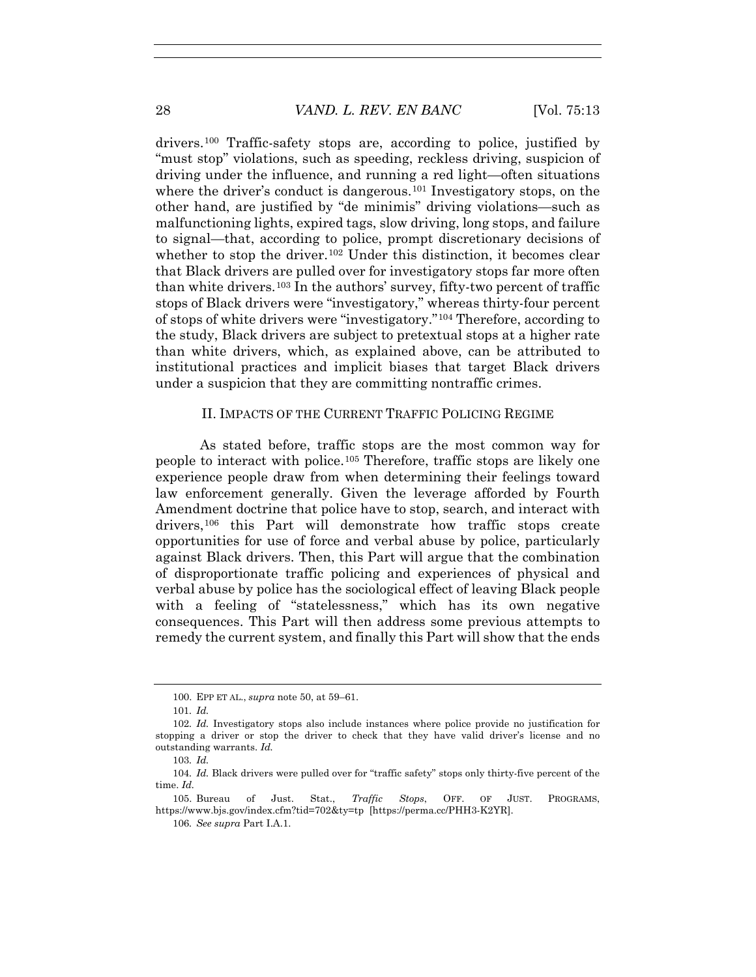drivers.100 Traffic-safety stops are, according to police, justified by "must stop" violations, such as speeding, reckless driving, suspicion of driving under the influence, and running a red light—often situations where the driver's conduct is dangerous.<sup>101</sup> Investigatory stops, on the other hand, are justified by "de minimis" driving violations—such as malfunctioning lights, expired tags, slow driving, long stops, and failure to signal—that, according to police, prompt discretionary decisions of whether to stop the driver.<sup>102</sup> Under this distinction, it becomes clear that Black drivers are pulled over for investigatory stops far more often than white drivers.<sup>103</sup> In the authors' survey, fifty-two percent of traffic stops of Black drivers were "investigatory," whereas thirty-four percent of stops of white drivers were "investigatory."104 Therefore, according to the study, Black drivers are subject to pretextual stops at a higher rate than white drivers, which, as explained above, can be attributed to institutional practices and implicit biases that target Black drivers under a suspicion that they are committing nontraffic crimes.

#### II. IMPACTS OF THE CURRENT TRAFFIC POLICING REGIME

As stated before, traffic stops are the most common way for people to interact with police.105 Therefore, traffic stops are likely one experience people draw from when determining their feelings toward law enforcement generally. Given the leverage afforded by Fourth Amendment doctrine that police have to stop, search, and interact with drivers,<sup>106</sup> this Part will demonstrate how traffic stops create opportunities for use of force and verbal abuse by police, particularly against Black drivers. Then, this Part will argue that the combination of disproportionate traffic policing and experiences of physical and verbal abuse by police has the sociological effect of leaving Black people with a feeling of "statelessness," which has its own negative consequences. This Part will then address some previous attempts to remedy the current system, and finally this Part will show that the ends

 <sup>100.</sup> EPP ET AL., *supra* note 50, at 59–61.

<sup>101</sup>*. Id.*

<sup>102</sup>*. Id.* Investigatory stops also include instances where police provide no justification for stopping a driver or stop the driver to check that they have valid driver's license and no outstanding warrants. *Id.*

<sup>103</sup>*. Id.*

<sup>104</sup>*. Id.* Black drivers were pulled over for "traffic safety" stops only thirty-five percent of the time. *Id.*

 <sup>105.</sup> Bureau of Just. Stat., *Traffic Stops*, OFF. OF JUST. PROGRAMS, https://www.bjs.gov/index.cfm?tid=702&ty=tp [https://perma.cc/PHH3-K2YR].

<sup>106</sup>*. See supra* Part I.A.1.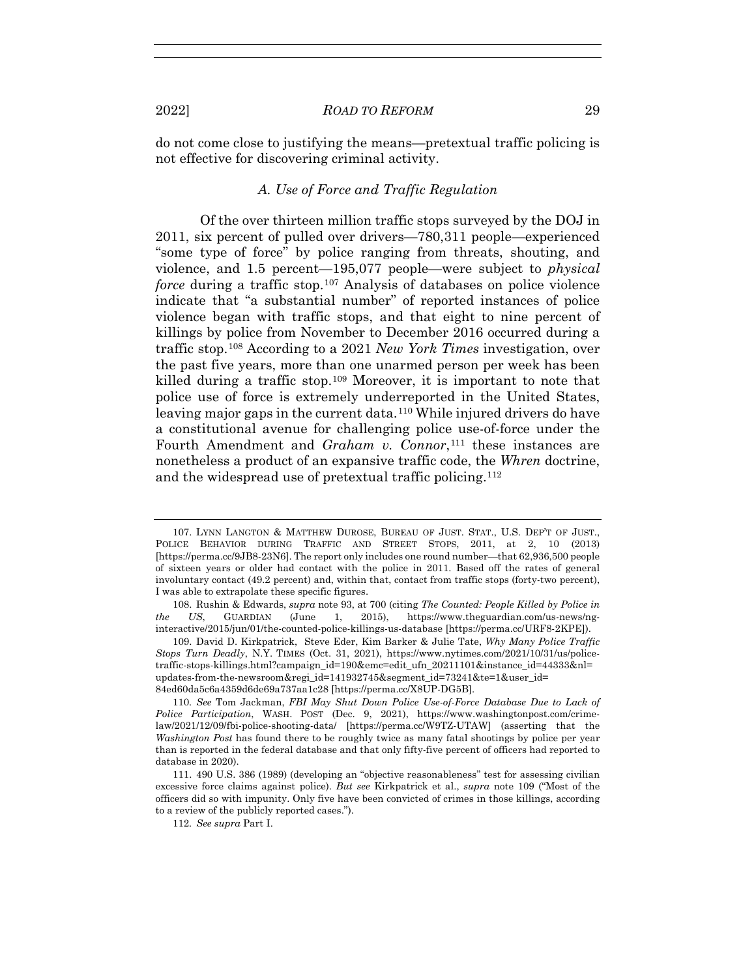do not come close to justifying the means—pretextual traffic policing is not effective for discovering criminal activity.

# *A. Use of Force and Traffic Regulation*

Of the over thirteen million traffic stops surveyed by the DOJ in 2011, six percent of pulled over drivers—780,311 people—experienced "some type of force" by police ranging from threats, shouting, and violence, and 1.5 percent—195,077 people—were subject to *physical force* during a traffic stop.107 Analysis of databases on police violence indicate that "a substantial number" of reported instances of police violence began with traffic stops, and that eight to nine percent of killings by police from November to December 2016 occurred during a traffic stop.108 According to a 2021 *New York Times* investigation, over the past five years, more than one unarmed person per week has been killed during a traffic stop.109 Moreover, it is important to note that police use of force is extremely underreported in the United States, leaving major gaps in the current data.<sup>110</sup> While injured drivers do have a constitutional avenue for challenging police use-of-force under the Fourth Amendment and *Graham v. Connor*,<sup>111</sup> these instances are nonetheless a product of an expansive traffic code, the *Whren* doctrine, and the widespread use of pretextual traffic policing.<sup>112</sup>

 <sup>107.</sup> LYNN LANGTON & MATTHEW DUROSE, BUREAU OF JUST. STAT., U.S. DEP'T OF JUST., POLICE BEHAVIOR DURING TRAFFIC AND STREET STOPS, 2011, at 2, 10 (2013) [https://perma.cc/9JB8-23N6]. The report only includes one round number—that 62,936,500 people of sixteen years or older had contact with the police in 2011. Based off the rates of general involuntary contact (49.2 percent) and, within that, contact from traffic stops (forty-two percent), I was able to extrapolate these specific figures.

 <sup>108.</sup> Rushin & Edwards, *supra* note 93, at 700 (citing *The Counted: People Killed by Police in the US*, GUARDIAN (June 1, 2015), https://www.theguardian.com/us-news/nginteractive/2015/jun/01/the-counted-police-killings-us-database [https://perma.cc/URF8-2KPE]).

 <sup>109.</sup> David D. Kirkpatrick, Steve Eder, Kim Barker & Julie Tate, *Why Many Police Traffic Stops Turn Deadly*, N.Y. TIMES (Oct. 31, 2021), https://www.nytimes.com/2021/10/31/us/policetraffic-stops-killings.html?campaign\_id=190&emc=edit\_ufn\_20211101&instance\_id=44333&nl= updates-from-the-newsroom&regi\_id=141932745&segment\_id=73241&te=1&user\_id= 84ed60da5c6a4359d6de69a737aa1c28 [https://perma.cc/X8UP-DG5B].

<sup>110</sup>*. See* Tom Jackman, *FBI May Shut Down Police Use-of-Force Database Due to Lack of Police Participation*, WASH. POST (Dec. 9, 2021), https://www.washingtonpost.com/crimelaw/2021/12/09/fbi-police-shooting-data/ [https://perma.cc/W9TZ-UTAW] (asserting that the *Washington Post* has found there to be roughly twice as many fatal shootings by police per year than is reported in the federal database and that only fifty-five percent of officers had reported to database in 2020).

 <sup>111. 490</sup> U.S. 386 (1989) (developing an "objective reasonableness" test for assessing civilian excessive force claims against police). *But see* Kirkpatrick et al., *supra* note 109 ("Most of the officers did so with impunity. Only five have been convicted of crimes in those killings, according to a review of the publicly reported cases.").

<sup>112</sup>*. See supra* Part I.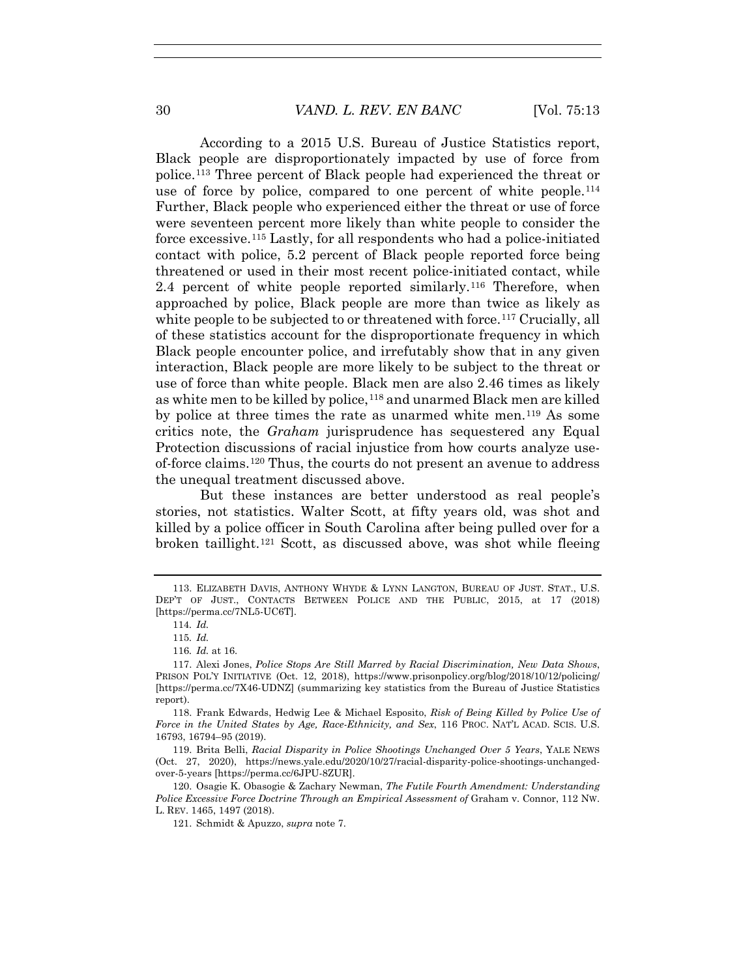According to a 2015 U.S. Bureau of Justice Statistics report, Black people are disproportionately impacted by use of force from police.113 Three percent of Black people had experienced the threat or use of force by police, compared to one percent of white people.<sup>114</sup> Further, Black people who experienced either the threat or use of force were seventeen percent more likely than white people to consider the force excessive.115 Lastly, for all respondents who had a police-initiated contact with police, 5.2 percent of Black people reported force being threatened or used in their most recent police-initiated contact, while 2.4 percent of white people reported similarly.116 Therefore, when approached by police, Black people are more than twice as likely as white people to be subjected to or threatened with force.<sup>117</sup> Crucially, all of these statistics account for the disproportionate frequency in which Black people encounter police, and irrefutably show that in any given interaction, Black people are more likely to be subject to the threat or use of force than white people. Black men are also 2.46 times as likely as white men to be killed by police,<sup>118</sup> and unarmed Black men are killed by police at three times the rate as unarmed white men.119 As some critics note, the *Graham* jurisprudence has sequestered any Equal Protection discussions of racial injustice from how courts analyze useof-force claims.120 Thus, the courts do not present an avenue to address the unequal treatment discussed above.

But these instances are better understood as real people's stories, not statistics. Walter Scott, at fifty years old, was shot and killed by a police officer in South Carolina after being pulled over for a broken taillight.121 Scott, as discussed above, was shot while fleeing

 <sup>113.</sup> ELIZABETH DAVIS, ANTHONY WHYDE & LYNN LANGTON, BUREAU OF JUST. STAT., U.S. DEP'T OF JUST., CONTACTS BETWEEN POLICE AND THE PUBLIC, 2015, at 17 (2018) [https://perma.cc/7NL5-UC6T].

<sup>114</sup>*. Id.*

<sup>115</sup>*. Id.*

<sup>116</sup>*. Id.* at 16.

 <sup>117.</sup> Alexi Jones, *Police Stops Are Still Marred by Racial Discrimination, New Data Shows*, PRISON POL'Y INITIATIVE (Oct. 12, 2018), https://www.prisonpolicy.org/blog/2018/10/12/policing/ [https://perma.cc/7X46-UDNZ] (summarizing key statistics from the Bureau of Justice Statistics report).

 <sup>118.</sup> Frank Edwards, Hedwig Lee & Michael Esposito, *Risk of Being Killed by Police Use of Force in the United States by Age, Race-Ethnicity, and Sex*, 116 PROC. NAT'L ACAD. SCIS. U.S. 16793, 16794–95 (2019).

 <sup>119.</sup> Brita Belli, *Racial Disparity in Police Shootings Unchanged Over 5 Years*, YALE NEWS (Oct. 27, 2020), https://news.yale.edu/2020/10/27/racial-disparity-police-shootings-unchangedover-5-years [https://perma.cc/6JPU-8ZUR].

 <sup>120.</sup> Osagie K. Obasogie & Zachary Newman, *The Futile Fourth Amendment: Understanding Police Excessive Force Doctrine Through an Empirical Assessment of Graham v. Connor, 112 NW.* L. REV. 1465, 1497 (2018).

 <sup>121.</sup> Schmidt & Apuzzo, *supra* note 7.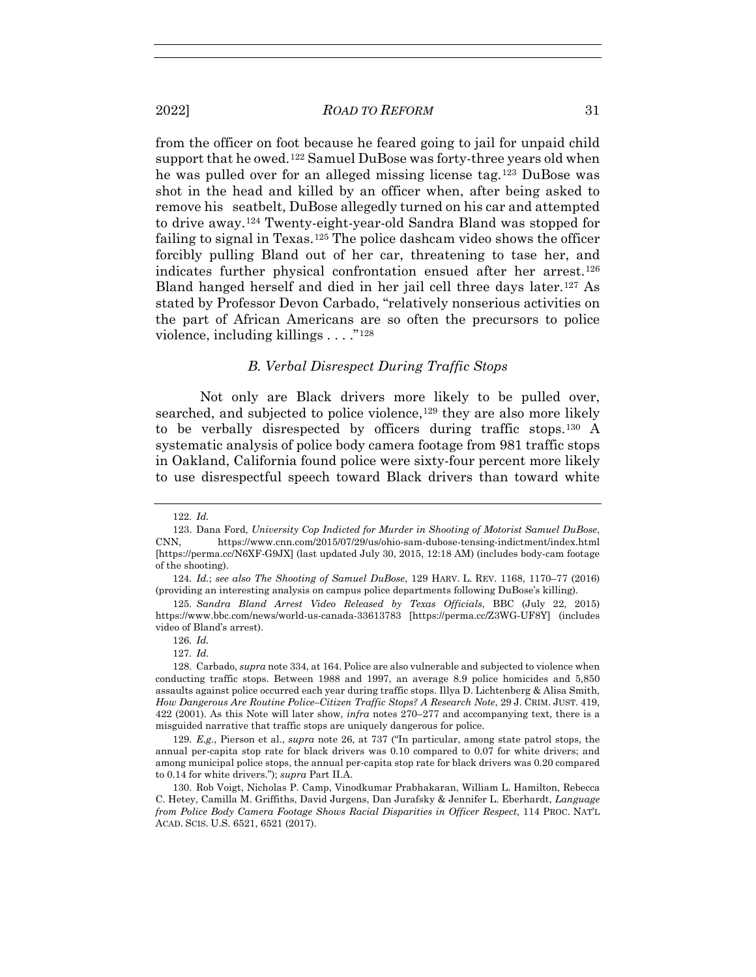2022] *ROAD TO REFORM* 31

from the officer on foot because he feared going to jail for unpaid child support that he owed.<sup>122</sup> Samuel DuBose was forty-three years old when he was pulled over for an alleged missing license tag.123 DuBose was shot in the head and killed by an officer when, after being asked to remove his seatbelt, DuBose allegedly turned on his car and attempted to drive away.124 Twenty-eight-year-old Sandra Bland was stopped for failing to signal in Texas.125 The police dashcam video shows the officer forcibly pulling Bland out of her car, threatening to tase her, and indicates further physical confrontation ensued after her arrest.126 Bland hanged herself and died in her jail cell three days later.127 As stated by Professor Devon Carbado, "relatively nonserious activities on the part of African Americans are so often the precursors to police violence, including killings  $\dots$ ."<sup>128</sup>

#### *B. Verbal Disrespect During Traffic Stops*

Not only are Black drivers more likely to be pulled over, searched, and subjected to police violence,<sup>129</sup> they are also more likely to be verbally disrespected by officers during traffic stops.130 A systematic analysis of police body camera footage from 981 traffic stops in Oakland, California found police were sixty-four percent more likely to use disrespectful speech toward Black drivers than toward white

129*. E.g.*, Pierson et al., *supra* note 26, at 737 ("In particular, among state patrol stops, the annual per-capita stop rate for black drivers was 0.10 compared to 0.07 for white drivers; and among municipal police stops, the annual per-capita stop rate for black drivers was 0.20 compared to 0.14 for white drivers."); *supra* Part II.A.

<sup>122</sup>*. Id.*

 <sup>123.</sup> Dana Ford, *University Cop Indicted for Murder in Shooting of Motorist Samuel DuBose*, CNN, https://www.cnn.com/2015/07/29/us/ohio-sam-dubose-tensing-indictment/index.html [https://perma.cc/N6XF-G9JX] (last updated July 30, 2015, 12:18 AM) (includes body-cam footage of the shooting).

<sup>124</sup>*. Id.*; *see also The Shooting of Samuel DuBose*, 129 HARV. L. REV. 1168, 1170–77 (2016) (providing an interesting analysis on campus police departments following DuBose's killing).

<sup>125</sup>*. Sandra Bland Arrest Video Released by Texas Officials*, BBC (July 22, 2015) https://www.bbc.com/news/world-us-canada-33613783 [https://perma.cc/Z3WG-UF8Y] (includes video of Bland's arrest).

<sup>126</sup>*. Id.*

<sup>127</sup>*. Id.*

 <sup>128.</sup> Carbado, *supra* note 334, at 164. Police are also vulnerable and subjected to violence when conducting traffic stops. Between 1988 and 1997, an average 8.9 police homicides and 5,850 assaults against police occurred each year during traffic stops. Illya D. Lichtenberg & Alisa Smith, *How Dangerous Are Routine Police–Citizen Traffic Stops? A Research Note*, 29 J. CRIM. JUST. 419, 422 (2001). As this Note will later show, *infra* notes 270–277 and accompanying text, there is a misguided narrative that traffic stops are uniquely dangerous for police.

 <sup>130.</sup> Rob Voigt, Nicholas P. Camp, Vinodkumar Prabhakaran, William L. Hamilton, Rebecca C. Hetey, Camilla M. Griffiths, David Jurgens, Dan Jurafsky & Jennifer L. Eberhardt, *Language from Police Body Camera Footage Shows Racial Disparities in Officer Respect*, 114 PROC. NAT'L ACAD. SCIS. U.S. 6521, 6521 (2017).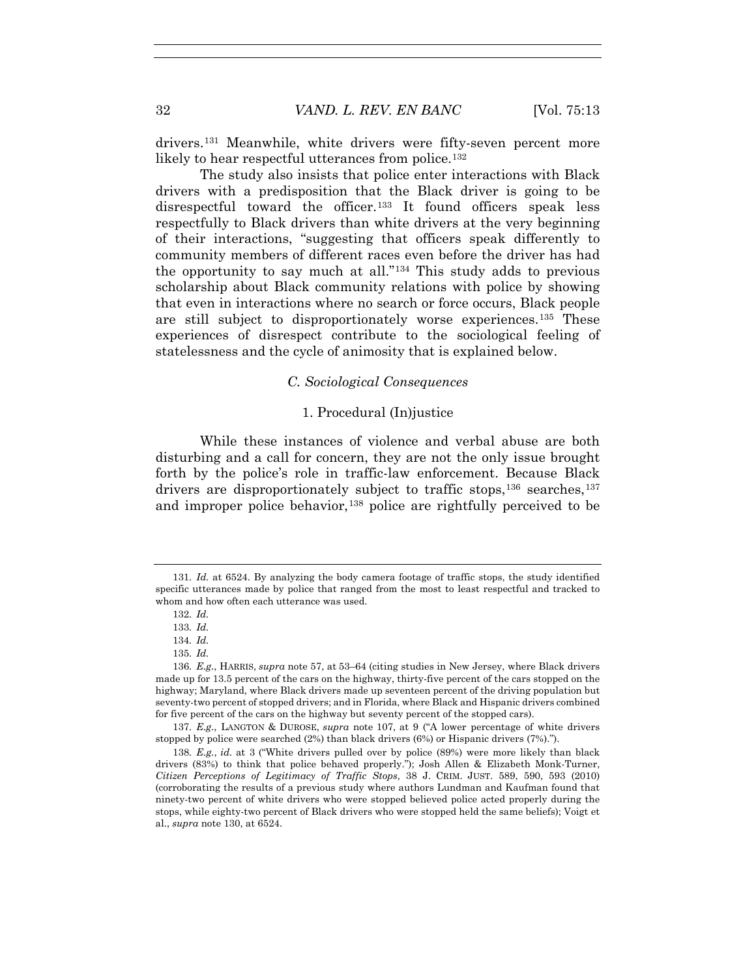drivers.131 Meanwhile, white drivers were fifty-seven percent more likely to hear respectful utterances from police.<sup>132</sup>

The study also insists that police enter interactions with Black drivers with a predisposition that the Black driver is going to be disrespectful toward the officer.<sup>133</sup> It found officers speak less respectfully to Black drivers than white drivers at the very beginning of their interactions, "suggesting that officers speak differently to community members of different races even before the driver has had the opportunity to say much at all."134 This study adds to previous scholarship about Black community relations with police by showing that even in interactions where no search or force occurs, Black people are still subject to disproportionately worse experiences.135 These experiences of disrespect contribute to the sociological feeling of statelessness and the cycle of animosity that is explained below.

#### *C. Sociological Consequences*

#### 1. Procedural (In)justice

While these instances of violence and verbal abuse are both disturbing and a call for concern, they are not the only issue brought forth by the police's role in traffic-law enforcement. Because Black drivers are disproportionately subject to traffic stops,<sup>136</sup> searches,<sup>137</sup> and improper police behavior,  $138$  police are rightfully perceived to be

137*. E.g.*, LANGTON & DUROSE, *supra* note 107, at 9 ("A lower percentage of white drivers stopped by police were searched (2%) than black drivers (6%) or Hispanic drivers (7%).").

138*. E.g.*, *id.* at 3 ("White drivers pulled over by police (89%) were more likely than black drivers (83%) to think that police behaved properly."); Josh Allen & Elizabeth Monk-Turner, *Citizen Perceptions of Legitimacy of Traffic Stops*, 38 J. CRIM. JUST. 589, 590, 593 (2010) (corroborating the results of a previous study where authors Lundman and Kaufman found that ninety-two percent of white drivers who were stopped believed police acted properly during the stops, while eighty-two percent of Black drivers who were stopped held the same beliefs); Voigt et al., *supra* note 130, at 6524.

<sup>131</sup>*. Id.* at 6524. By analyzing the body camera footage of traffic stops, the study identified specific utterances made by police that ranged from the most to least respectful and tracked to whom and how often each utterance was used.

<sup>132</sup>*. Id.*

<sup>133</sup>*. Id.*

<sup>134</sup>*. Id.*

<sup>135</sup>*. Id.*

<sup>136</sup>*. E.g.*, HARRIS, *supra* note 57, at 53–64 (citing studies in New Jersey, where Black drivers made up for 13.5 percent of the cars on the highway, thirty-five percent of the cars stopped on the highway; Maryland, where Black drivers made up seventeen percent of the driving population but seventy-two percent of stopped drivers; and in Florida, where Black and Hispanic drivers combined for five percent of the cars on the highway but seventy percent of the stopped cars).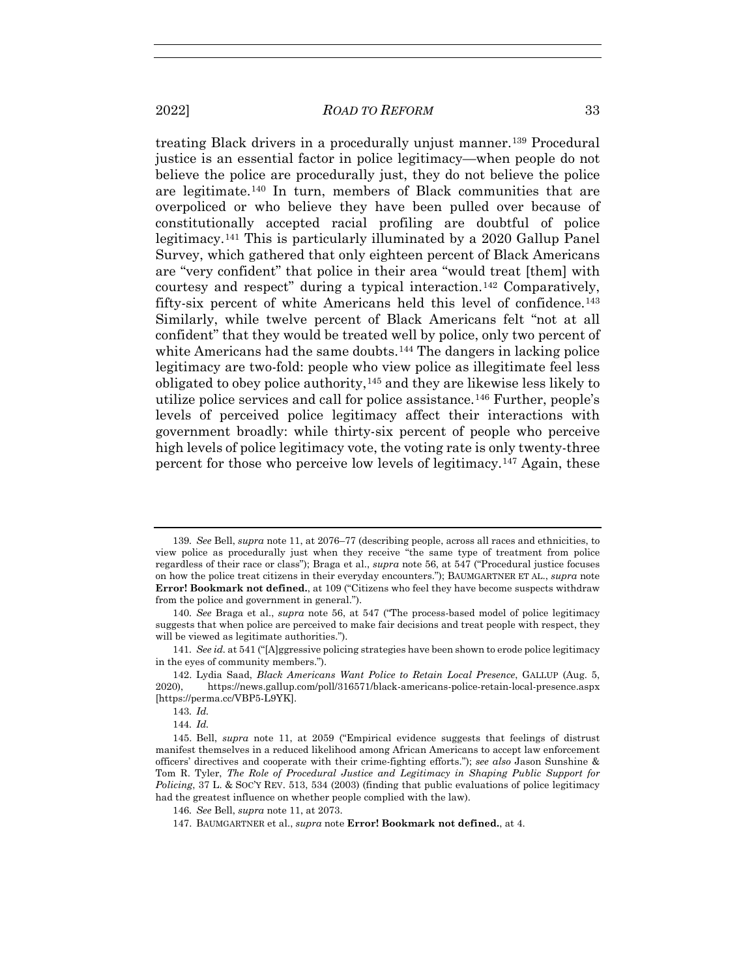treating Black drivers in a procedurally unjust manner.<sup>139</sup> Procedural justice is an essential factor in police legitimacy—when people do not believe the police are procedurally just, they do not believe the police are legitimate.140 In turn, members of Black communities that are overpoliced or who believe they have been pulled over because of constitutionally accepted racial profiling are doubtful of police legitimacy.141 This is particularly illuminated by a 2020 Gallup Panel Survey, which gathered that only eighteen percent of Black Americans are "very confident" that police in their area "would treat [them] with courtesy and respect" during a typical interaction.142 Comparatively, fifty-six percent of white Americans held this level of confidence.143 Similarly, while twelve percent of Black Americans felt "not at all confident" that they would be treated well by police, only two percent of white Americans had the same doubts.<sup>144</sup> The dangers in lacking police legitimacy are two-fold: people who view police as illegitimate feel less obligated to obey police authority,145 and they are likewise less likely to utilize police services and call for police assistance.146 Further, people's levels of perceived police legitimacy affect their interactions with government broadly: while thirty-six percent of people who perceive high levels of police legitimacy vote, the voting rate is only twenty-three percent for those who perceive low levels of legitimacy.147 Again, these

<sup>139</sup>*. See* Bell, *supra* note 11, at 2076–77 (describing people, across all races and ethnicities, to view police as procedurally just when they receive "the same type of treatment from police regardless of their race or class"); Braga et al., *supra* note 56, at 547 ("Procedural justice focuses on how the police treat citizens in their everyday encounters."); BAUMGARTNER ET AL., *supra* note **Error! Bookmark not defined.**, at 109 ("Citizens who feel they have become suspects withdraw from the police and government in general.").

<sup>140</sup>*. See* Braga et al., *supra* note 56, at 547 ("The process-based model of police legitimacy suggests that when police are perceived to make fair decisions and treat people with respect, they will be viewed as legitimate authorities.").

<sup>141</sup>*. See id.* at 541 ("[A]ggressive policing strategies have been shown to erode police legitimacy in the eyes of community members.").

 <sup>142.</sup> Lydia Saad, *Black Americans Want Police to Retain Local Presence*, GALLUP (Aug. 5, 2020), https://news.gallup.com/poll/316571/black-americans-police-retain-local-presence.aspx [https://perma.cc/VBP5-L9YK].

<sup>143</sup>*. Id.*

<sup>144</sup>*. Id.*

 <sup>145.</sup> Bell, *supra* note 11, at 2059 ("Empirical evidence suggests that feelings of distrust manifest themselves in a reduced likelihood among African Americans to accept law enforcement officers' directives and cooperate with their crime-fighting efforts."); *see also* Jason Sunshine & Tom R. Tyler, *The Role of Procedural Justice and Legitimacy in Shaping Public Support for Policing*, 37 L. & SOC'Y REV. 513, 534 (2003) (finding that public evaluations of police legitimacy had the greatest influence on whether people complied with the law).

<sup>146</sup>*. See* Bell, *supra* note 11, at 2073.

 <sup>147.</sup> BAUMGARTNER et al., *supra* note **Error! Bookmark not defined.**, at 4.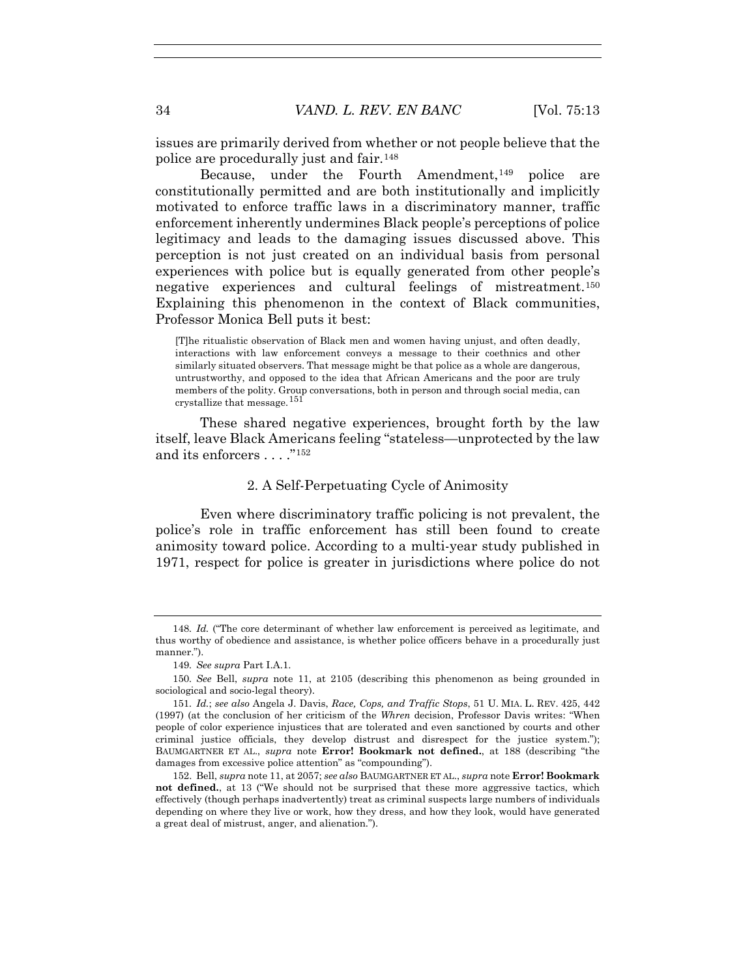issues are primarily derived from whether or not people believe that the police are procedurally just and fair.148

Because, under the Fourth Amendment,<sup>149</sup> police are constitutionally permitted and are both institutionally and implicitly motivated to enforce traffic laws in a discriminatory manner, traffic enforcement inherently undermines Black people's perceptions of police legitimacy and leads to the damaging issues discussed above. This perception is not just created on an individual basis from personal experiences with police but is equally generated from other people's negative experiences and cultural feelings of mistreatment.150 Explaining this phenomenon in the context of Black communities, Professor Monica Bell puts it best:

[T]he ritualistic observation of Black men and women having unjust, and often deadly, interactions with law enforcement conveys a message to their coethnics and other similarly situated observers. That message might be that police as a whole are dangerous, untrustworthy, and opposed to the idea that African Americans and the poor are truly members of the polity. Group conversations, both in person and through social media, can crystallize that message.<sup>151</sup>

These shared negative experiences, brought forth by the law itself, leave Black Americans feeling "stateless—unprotected by the law and its enforcers . . . . "<sup>152</sup>

# 2. A Self-Perpetuating Cycle of Animosity

Even where discriminatory traffic policing is not prevalent, the police's role in traffic enforcement has still been found to create animosity toward police. According to a multi-year study published in 1971, respect for police is greater in jurisdictions where police do not

<sup>148</sup>*. Id.* ("The core determinant of whether law enforcement is perceived as legitimate, and thus worthy of obedience and assistance, is whether police officers behave in a procedurally just manner.").

<sup>149</sup>*. See supra* Part I.A.1.

<sup>150</sup>*. See* Bell, *supra* note 11, at 2105 (describing this phenomenon as being grounded in sociological and socio-legal theory).

<sup>151</sup>*. Id.*; *see also* Angela J. Davis, *Race, Cops, and Traffic Stops*, 51 U. MIA. L. REV. 425, 442 (1997) (at the conclusion of her criticism of the *Whren* decision, Professor Davis writes: "When people of color experience injustices that are tolerated and even sanctioned by courts and other criminal justice officials, they develop distrust and disrespect for the justice system."); BAUMGARTNER ET AL., *supra* note **Error! Bookmark not defined.**, at 188 (describing "the damages from excessive police attention" as "compounding").

 <sup>152.</sup> Bell, *supra* note 11, at 2057; *see also* BAUMGARTNER ET AL., *supra* note **Error! Bookmark not defined.**, at 13 ("We should not be surprised that these more aggressive tactics, which effectively (though perhaps inadvertently) treat as criminal suspects large numbers of individuals depending on where they live or work, how they dress, and how they look, would have generated a great deal of mistrust, anger, and alienation.").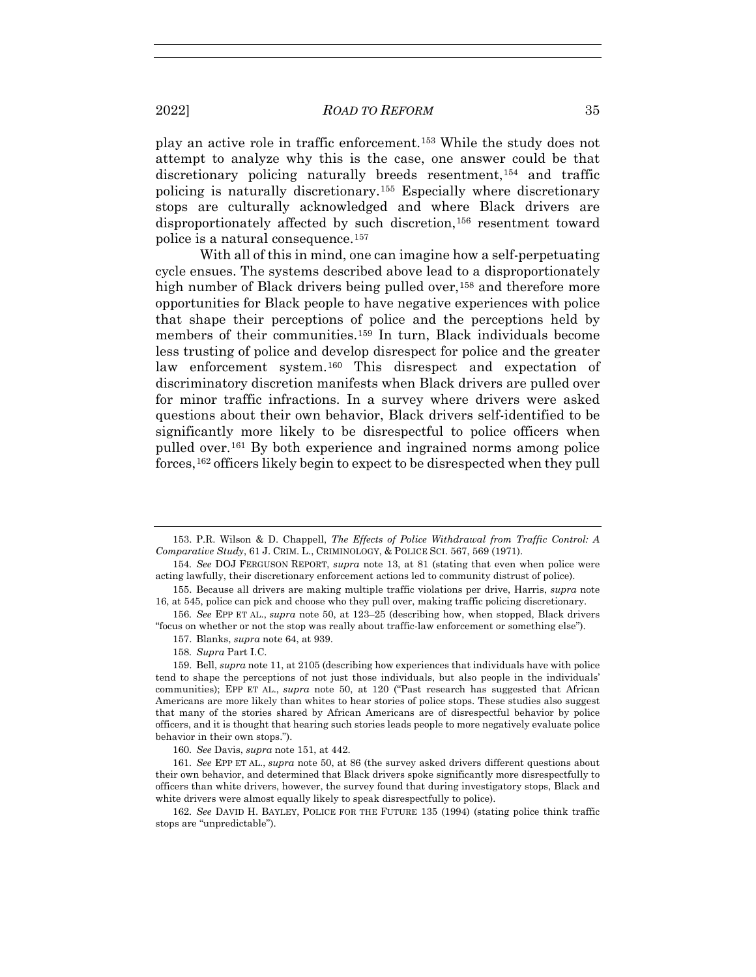play an active role in traffic enforcement.153 While the study does not attempt to analyze why this is the case, one answer could be that discretionary policing naturally breeds resentment,154 and traffic policing is naturally discretionary.155 Especially where discretionary stops are culturally acknowledged and where Black drivers are disproportionately affected by such discretion,<sup>156</sup> resentment toward police is a natural consequence.157

With all of this in mind, one can imagine how a self-perpetuating cycle ensues. The systems described above lead to a disproportionately high number of Black drivers being pulled over,<sup>158</sup> and therefore more opportunities for Black people to have negative experiences with police that shape their perceptions of police and the perceptions held by members of their communities.159 In turn, Black individuals become less trusting of police and develop disrespect for police and the greater law enforcement system.160 This disrespect and expectation of discriminatory discretion manifests when Black drivers are pulled over for minor traffic infractions. In a survey where drivers were asked questions about their own behavior, Black drivers self-identified to be significantly more likely to be disrespectful to police officers when pulled over.161 By both experience and ingrained norms among police forces,162 officers likely begin to expect to be disrespected when they pull

156*. See* EPP ET AL., *supra* note 50, at 123–25 (describing how, when stopped, Black drivers "focus on whether or not the stop was really about traffic-law enforcement or something else").

157. Blanks, *supra* note 64, at 939.

158*. Supra* Part I.C.

 159. Bell, *supra* note 11, at 2105 (describing how experiences that individuals have with police tend to shape the perceptions of not just those individuals, but also people in the individuals' communities); EPP ET AL., *supra* note 50, at 120 ("Past research has suggested that African Americans are more likely than whites to hear stories of police stops. These studies also suggest that many of the stories shared by African Americans are of disrespectful behavior by police officers, and it is thought that hearing such stories leads people to more negatively evaluate police behavior in their own stops.").

160*. See* Davis, *supra* note 151, at 442.

161*. See* EPP ET AL., *supra* note 50, at 86 (the survey asked drivers different questions about their own behavior, and determined that Black drivers spoke significantly more disrespectfully to officers than white drivers, however, the survey found that during investigatory stops, Black and white drivers were almost equally likely to speak disrespectfully to police).

162*. See* DAVID H. BAYLEY, POLICE FOR THE FUTURE 135 (1994) (stating police think traffic stops are "unpredictable").

 <sup>153.</sup> P.R. Wilson & D. Chappell, *The Effects of Police Withdrawal from Traffic Control: A Comparative Study*, 61 J. CRIM. L., CRIMINOLOGY, & POLICE SCI. 567, 569 (1971).

<sup>154</sup>*. See* DOJ FERGUSON REPORT, *supra* note 13, at 81 (stating that even when police were acting lawfully, their discretionary enforcement actions led to community distrust of police).

 <sup>155.</sup> Because all drivers are making multiple traffic violations per drive, Harris, *supra* note 16, at 545, police can pick and choose who they pull over, making traffic policing discretionary.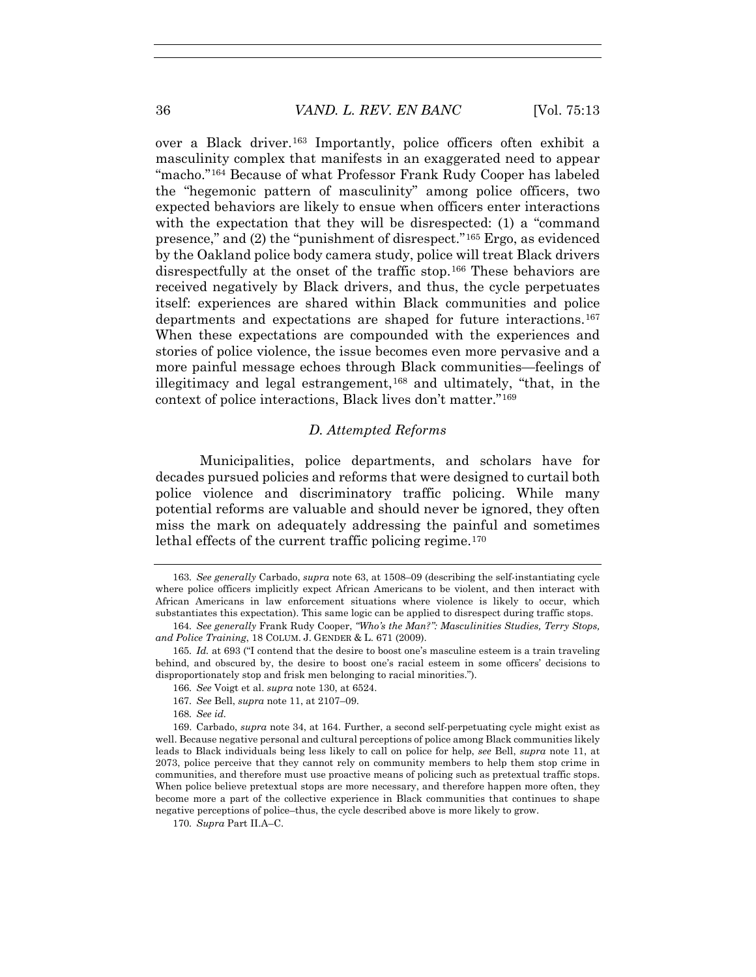over a Black driver.163 Importantly, police officers often exhibit a masculinity complex that manifests in an exaggerated need to appear "macho."164 Because of what Professor Frank Rudy Cooper has labeled the "hegemonic pattern of masculinity" among police officers, two expected behaviors are likely to ensue when officers enter interactions with the expectation that they will be disrespected: (1) a "command presence," and (2) the "punishment of disrespect."165 Ergo, as evidenced by the Oakland police body camera study, police will treat Black drivers disrespectfully at the onset of the traffic stop.166 These behaviors are received negatively by Black drivers, and thus, the cycle perpetuates itself: experiences are shared within Black communities and police departments and expectations are shaped for future interactions.167 When these expectations are compounded with the experiences and stories of police violence, the issue becomes even more pervasive and a more painful message echoes through Black communities—feelings of illegitimacy and legal estrangement,168 and ultimately, "that, in the context of police interactions, Black lives don't matter."169

#### *D. Attempted Reforms*

Municipalities, police departments, and scholars have for decades pursued policies and reforms that were designed to curtail both police violence and discriminatory traffic policing. While many potential reforms are valuable and should never be ignored, they often miss the mark on adequately addressing the painful and sometimes lethal effects of the current traffic policing regime.<sup>170</sup>

170*. Supra* Part II.A–C.

<sup>163</sup>*. See generally* Carbado, *supra* note 63, at 1508–09 (describing the self-instantiating cycle where police officers implicitly expect African Americans to be violent, and then interact with African Americans in law enforcement situations where violence is likely to occur, which substantiates this expectation). This same logic can be applied to disrespect during traffic stops.

<sup>164</sup>*. See generally* Frank Rudy Cooper, *"Who's the Man?": Masculinities Studies, Terry Stops, and Police Training*, 18 COLUM. J. GENDER & L. 671 (2009).

<sup>165</sup>*. Id.* at 693 ("I contend that the desire to boost one's masculine esteem is a train traveling behind, and obscured by, the desire to boost one's racial esteem in some officers' decisions to disproportionately stop and frisk men belonging to racial minorities.").

<sup>166</sup>*. See* Voigt et al. *supra* note 130, at 6524.

<sup>167</sup>*. See* Bell, *supra* note 11, at 2107–09.

<sup>168</sup>*. See id.*

 <sup>169.</sup> Carbado, *supra* note 34, at 164. Further, a second self-perpetuating cycle might exist as well. Because negative personal and cultural perceptions of police among Black communities likely leads to Black individuals being less likely to call on police for help, *see* Bell, *supra* note 11, at 2073, police perceive that they cannot rely on community members to help them stop crime in communities, and therefore must use proactive means of policing such as pretextual traffic stops. When police believe pretextual stops are more necessary, and therefore happen more often, they become more a part of the collective experience in Black communities that continues to shape negative perceptions of police–thus, the cycle described above is more likely to grow.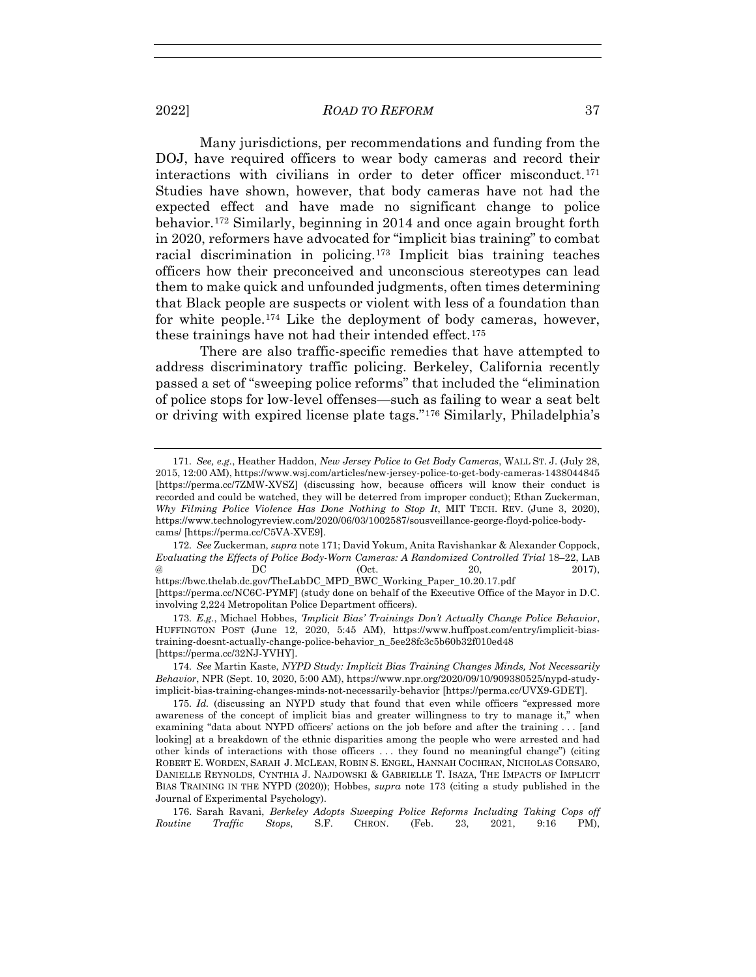Many jurisdictions, per recommendations and funding from the DOJ, have required officers to wear body cameras and record their interactions with civilians in order to deter officer misconduct.171 Studies have shown, however, that body cameras have not had the expected effect and have made no significant change to police behavior.172 Similarly, beginning in 2014 and once again brought forth in 2020, reformers have advocated for "implicit bias training" to combat racial discrimination in policing.173 Implicit bias training teaches officers how their preconceived and unconscious stereotypes can lead them to make quick and unfounded judgments, often times determining that Black people are suspects or violent with less of a foundation than for white people.174 Like the deployment of body cameras, however, these trainings have not had their intended effect.<sup>175</sup>

There are also traffic-specific remedies that have attempted to address discriminatory traffic policing. Berkeley, California recently passed a set of "sweeping police reforms" that included the "elimination of police stops for low-level offenses—such as failing to wear a seat belt or driving with expired license plate tags."176 Similarly, Philadelphia's

172*. See* Zuckerman, *supra* note 171; David Yokum, Anita Ravishankar & Alexander Coppock, *Evaluating the Effects of Police Body-Worn Cameras: A Randomized Controlled Trial* 18–22, LAB @ DC (Oct. 20, 2017), https://bwc.thelab.dc.gov/TheLabDC\_MPD\_BWC\_Working\_Paper\_10.20.17.pdf [https://perma.cc/NC6C-PYMF] (study done on behalf of the Executive Office of the Mayor in D.C. involving 2,224 Metropolitan Police Department officers).

<sup>171</sup>*. See, e.g.*, Heather Haddon, *New Jersey Police to Get Body Cameras*, WALL ST. J. (July 28, 2015, 12:00 AM), https://www.wsj.com/articles/new-jersey-police-to-get-body-cameras-1438044845 [https://perma.cc/7ZMW-XVSZ] (discussing how, because officers will know their conduct is recorded and could be watched, they will be deterred from improper conduct); Ethan Zuckerman, *Why Filming Police Violence Has Done Nothing to Stop It*, MIT TECH. REV. (June 3, 2020), https://www.technologyreview.com/2020/06/03/1002587/sousveillance-george-floyd-police-bodycams/ [https://perma.cc/C5VA-XVE9].

<sup>173</sup>*. E.g.*, Michael Hobbes, *'Implicit Bias' Trainings Don't Actually Change Police Behavior*, HUFFINGTON POST (June 12, 2020, 5:45 AM), https://www.huffpost.com/entry/implicit-biastraining-doesnt-actually-change-police-behavior\_n\_5ee28fc3c5b60b32f010ed48 [https://perma.cc/32NJ-YVHY].

<sup>174</sup>*. See* Martin Kaste, *NYPD Study: Implicit Bias Training Changes Minds, Not Necessarily Behavior*, NPR (Sept. 10, 2020, 5:00 AM), https://www.npr.org/2020/09/10/909380525/nypd-studyimplicit-bias-training-changes-minds-not-necessarily-behavior [https://perma.cc/UVX9-GDET].

<sup>175</sup>*. Id.* (discussing an NYPD study that found that even while officers "expressed more awareness of the concept of implicit bias and greater willingness to try to manage it," when examining "data about NYPD officers' actions on the job before and after the training . . . [and looking] at a breakdown of the ethnic disparities among the people who were arrested and had other kinds of interactions with those officers . . . they found no meaningful change") (citing ROBERT E. WORDEN, SARAH J. MCLEAN, ROBIN S. ENGEL, HANNAH COCHRAN, NICHOLAS CORSARO, DANIELLE REYNOLDS, CYNTHIA J. NAJDOWSKI & GABRIELLE T. ISAZA, THE IMPACTS OF IMPLICIT BIAS TRAINING IN THE NYPD (2020)); Hobbes, *supra* note 173 (citing a study published in the Journal of Experimental Psychology).

 <sup>176.</sup> Sarah Ravani, *Berkeley Adopts Sweeping Police Reforms Including Taking Cops off Routine Traffic Stops*, S.F. CHRON. (Feb. 23, 2021, 9:16 PM),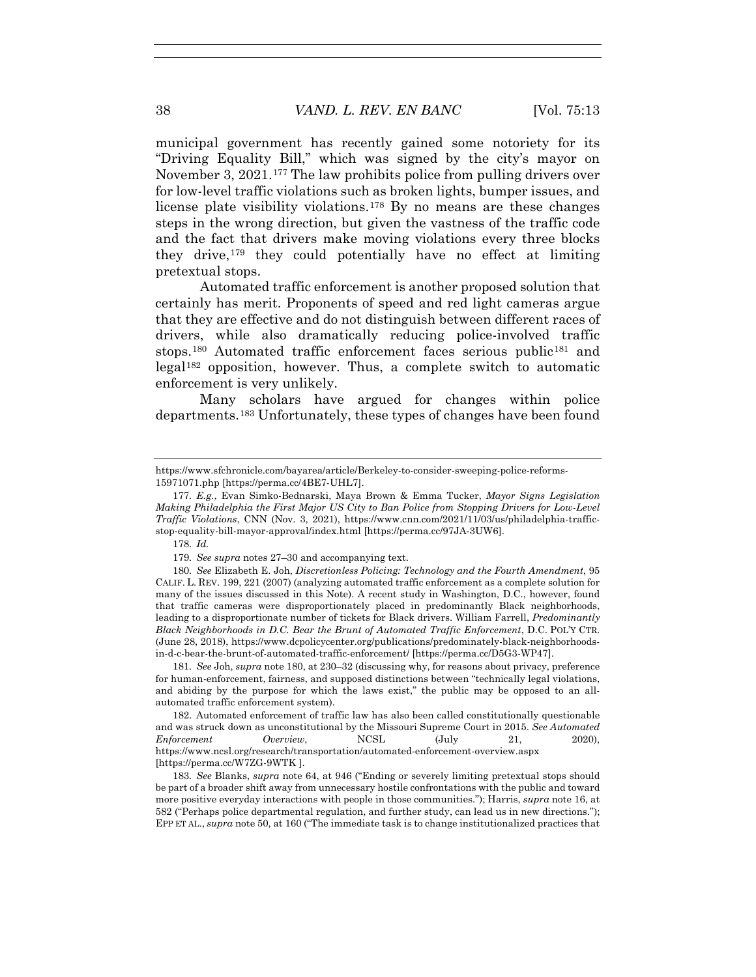municipal government has recently gained some notoriety for its "Driving Equality Bill," which was signed by the city's mayor on November 3, 2021.177 The law prohibits police from pulling drivers over for low-level traffic violations such as broken lights, bumper issues, and license plate visibility violations.178 By no means are these changes steps in the wrong direction, but given the vastness of the traffic code and the fact that drivers make moving violations every three blocks they drive,  $179$  they could potentially have no effect at limiting pretextual stops.

Automated traffic enforcement is another proposed solution that certainly has merit. Proponents of speed and red light cameras argue that they are effective and do not distinguish between different races of drivers, while also dramatically reducing police-involved traffic stops.<sup>180</sup> Automated traffic enforcement faces serious public<sup>181</sup> and legal182 opposition, however. Thus, a complete switch to automatic enforcement is very unlikely.

Many scholars have argued for changes within police departments.183 Unfortunately, these types of changes have been found

https://www.sfchronicle.com/bayarea/article/Berkeley-to-consider-sweeping-police-reforms-15971071.php [https://perma.cc/4BE7-UHL7].

<sup>177</sup>*. E.g.*, Evan Simko-Bednarski, Maya Brown & Emma Tucker, *Mayor Signs Legislation Making Philadelphia the First Major US City to Ban Police from Stopping Drivers for Low-Level Traffic Violations*, CNN (Nov. 3, 2021), https://www.cnn.com/2021/11/03/us/philadelphia-trafficstop-equality-bill-mayor-approval/index.html [https://perma.cc/97JA-3UW6].

<sup>178</sup>*. Id.*

<sup>179</sup>*. See supra* notes 27–30 and accompanying text.

<sup>180</sup>*. See* Elizabeth E. Joh, *Discretionless Policing: Technology and the Fourth Amendment*, 95 CALIF. L. REV. 199, 221 (2007) (analyzing automated traffic enforcement as a complete solution for many of the issues discussed in this Note). A recent study in Washington, D.C., however, found that traffic cameras were disproportionately placed in predominantly Black neighborhoods, leading to a disproportionate number of tickets for Black drivers. William Farrell, *Predominantly Black Neighborhoods in D.C. Bear the Brunt of Automated Traffic Enforcement*, D.C. POL'Y CTR. (June 28, 2018), https://www.dcpolicycenter.org/publications/predominately-black-neighborhoodsin-d-c-bear-the-brunt-of-automated-traffic-enforcement/ [https://perma.cc/D5G3-WP47].

<sup>181</sup>*. See* Joh, *supra* note 180, at 230–32 (discussing why, for reasons about privacy, preference for human-enforcement, fairness, and supposed distinctions between "technically legal violations, and abiding by the purpose for which the laws exist," the public may be opposed to an allautomated traffic enforcement system).

 <sup>182.</sup> Automated enforcement of traffic law has also been called constitutionally questionable and was struck down as unconstitutional by the Missouri Supreme Court in 2015. *See Automated Enforcement Overview*, NCSL (July 21, 2020), https://www.ncsl.org/research/transportation/automated-enforcement-overview.aspx [https://perma.cc/W7ZG-9WTK ].

<sup>183</sup>*. See* Blanks, *supra* note 64, at 946 ("Ending or severely limiting pretextual stops should be part of a broader shift away from unnecessary hostile confrontations with the public and toward more positive everyday interactions with people in those communities."); Harris, *supra* note 16, at 582 ("Perhaps police departmental regulation, and further study, can lead us in new directions."); EPP ET AL., *supra* note 50, at 160 ("The immediate task is to change institutionalized practices that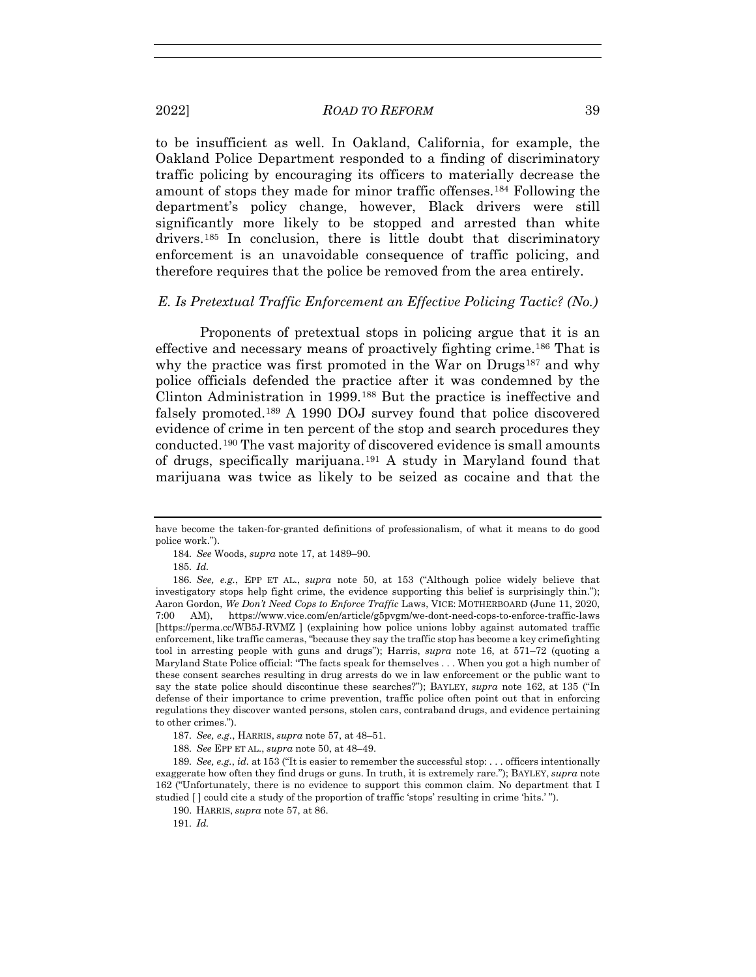to be insufficient as well. In Oakland, California, for example, the Oakland Police Department responded to a finding of discriminatory traffic policing by encouraging its officers to materially decrease the amount of stops they made for minor traffic offenses.184 Following the department's policy change, however, Black drivers were still significantly more likely to be stopped and arrested than white drivers.185 In conclusion, there is little doubt that discriminatory enforcement is an unavoidable consequence of traffic policing, and therefore requires that the police be removed from the area entirely.

# *E. Is Pretextual Traffic Enforcement an Effective Policing Tactic? (No.)*

Proponents of pretextual stops in policing argue that it is an effective and necessary means of proactively fighting crime.186 That is why the practice was first promoted in the War on Drugs<sup>187</sup> and why police officials defended the practice after it was condemned by the Clinton Administration in 1999.188 But the practice is ineffective and falsely promoted.189 A 1990 DOJ survey found that police discovered evidence of crime in ten percent of the stop and search procedures they conducted.190 The vast majority of discovered evidence is small amounts of drugs, specifically marijuana.191 A study in Maryland found that marijuana was twice as likely to be seized as cocaine and that the

have become the taken-for-granted definitions of professionalism, of what it means to do good police work.").

<sup>184</sup>*. See* Woods, *supra* note 17, at 1489–90.

<sup>185</sup>*. Id.*

<sup>186</sup>*. See, e.g.*, EPP ET AL., *supra* note 50, at 153 ("Although police widely believe that investigatory stops help fight crime, the evidence supporting this belief is surprisingly thin."); Aaron Gordon, *We Don't Need Cops to Enforce Traffic* Laws, VICE: MOTHERBOARD (June 11, 2020, 7:00 AM), https://www.vice.com/en/article/g5pvgm/we-dont-need-cops-to-enforce-traffic-laws [https://perma.cc/WB5J-RVMZ ] (explaining how police unions lobby against automated traffic enforcement, like traffic cameras, "because they say the traffic stop has become a key crimefighting tool in arresting people with guns and drugs"); Harris, *supra* note 16, at 571–72 (quoting a Maryland State Police official: "The facts speak for themselves . . . When you got a high number of these consent searches resulting in drug arrests do we in law enforcement or the public want to say the state police should discontinue these searches?"); BAYLEY, *supra* note 162, at 135 ("In defense of their importance to crime prevention, traffic police often point out that in enforcing regulations they discover wanted persons, stolen cars, contraband drugs, and evidence pertaining to other crimes.").

<sup>187</sup>*. See, e.g.*, HARRIS, *supra* note 57, at 48–51.

<sup>188</sup>*. See* EPP ET AL., *supra* note 50, at 48–49.

<sup>189</sup>*. See, e.g.*, *id.* at 153 ("It is easier to remember the successful stop: . . . officers intentionally exaggerate how often they find drugs or guns. In truth, it is extremely rare."); BAYLEY, *supra* note 162 ("Unfortunately, there is no evidence to support this common claim. No department that I studied [ ] could cite a study of the proportion of traffic 'stops' resulting in crime 'hits.' ").

 <sup>190.</sup> HARRIS, *supra* note 57, at 86.

<sup>191</sup>*. Id.*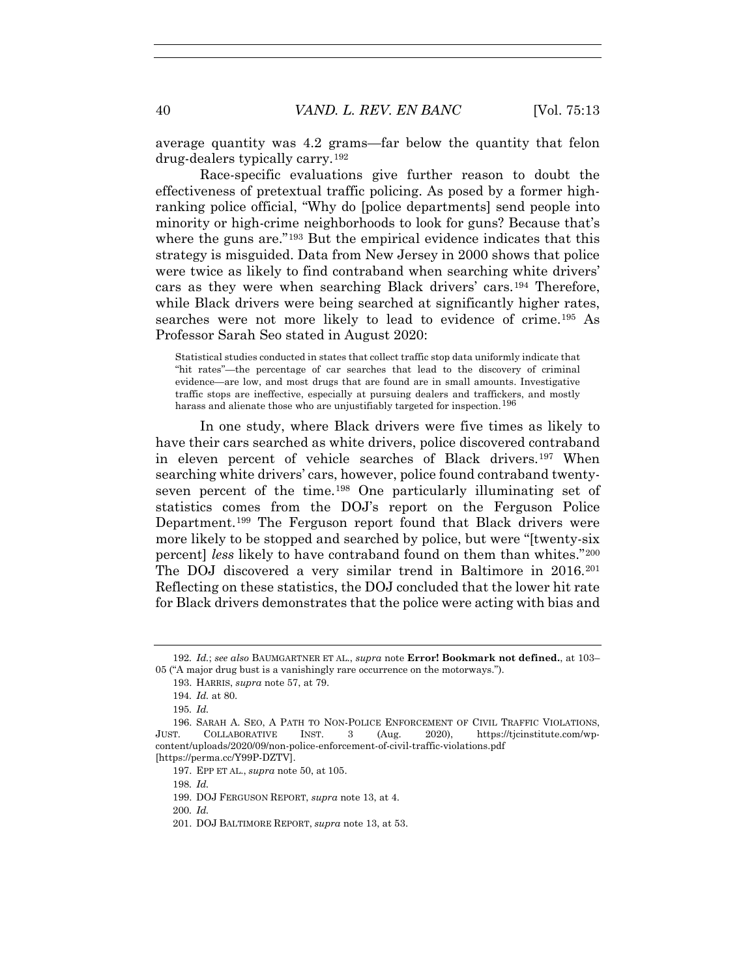average quantity was 4.2 grams—far below the quantity that felon drug-dealers typically carry.192

Race-specific evaluations give further reason to doubt the effectiveness of pretextual traffic policing. As posed by a former highranking police official, "Why do [police departments] send people into minority or high-crime neighborhoods to look for guns? Because that's where the guns are."<sup>193</sup> But the empirical evidence indicates that this strategy is misguided. Data from New Jersey in 2000 shows that police were twice as likely to find contraband when searching white drivers' cars as they were when searching Black drivers' cars.194 Therefore, while Black drivers were being searched at significantly higher rates, searches were not more likely to lead to evidence of crime.195 As Professor Sarah Seo stated in August 2020:

Statistical studies conducted in states that collect traffic stop data uniformly indicate that "hit rates"—the percentage of car searches that lead to the discovery of criminal evidence—are low, and most drugs that are found are in small amounts. Investigative traffic stops are ineffective, especially at pursuing dealers and traffickers, and mostly harass and alienate those who are unjustifiably targeted for inspection.<sup>196</sup>

In one study, where Black drivers were five times as likely to have their cars searched as white drivers, police discovered contraband in eleven percent of vehicle searches of Black drivers.197 When searching white drivers' cars, however, police found contraband twentyseven percent of the time.198 One particularly illuminating set of statistics comes from the DOJ's report on the Ferguson Police Department.199 The Ferguson report found that Black drivers were more likely to be stopped and searched by police, but were "[twenty-six percent] *less* likely to have contraband found on them than whites."200 The DOJ discovered a very similar trend in Baltimore in 2016.201 Reflecting on these statistics, the DOJ concluded that the lower hit rate for Black drivers demonstrates that the police were acting with bias and

200*. Id.*

<sup>192</sup>*. Id.*; *see also* BAUMGARTNER ET AL., *supra* note **Error! Bookmark not defined.**, at 103– 05 ("A major drug bust is a vanishingly rare occurrence on the motorways.").

 <sup>193.</sup> HARRIS, *supra* note 57, at 79.

<sup>194</sup>*. Id.* at 80.

<sup>195</sup>*. Id.*

 <sup>196.</sup> SARAH A. SEO, A PATH TO NON-POLICE ENFORCEMENT OF CIVIL TRAFFIC VIOLATIONS, JUST. COLLABORATIVE INST. 3 (Aug. 2020), https://tjcinstitute.com/wpcontent/uploads/2020/09/non-police-enforcement-of-civil-traffic-violations.pdf [https://perma.cc/Y99P-DZTV].

 <sup>197.</sup> EPP ET AL., *supra* note 50, at 105.

<sup>198</sup>*. Id.*

 <sup>199.</sup> DOJ FERGUSON REPORT, *supra* note 13, at 4.

 <sup>201.</sup> DOJ BALTIMORE REPORT, *supra* note 13, at 53.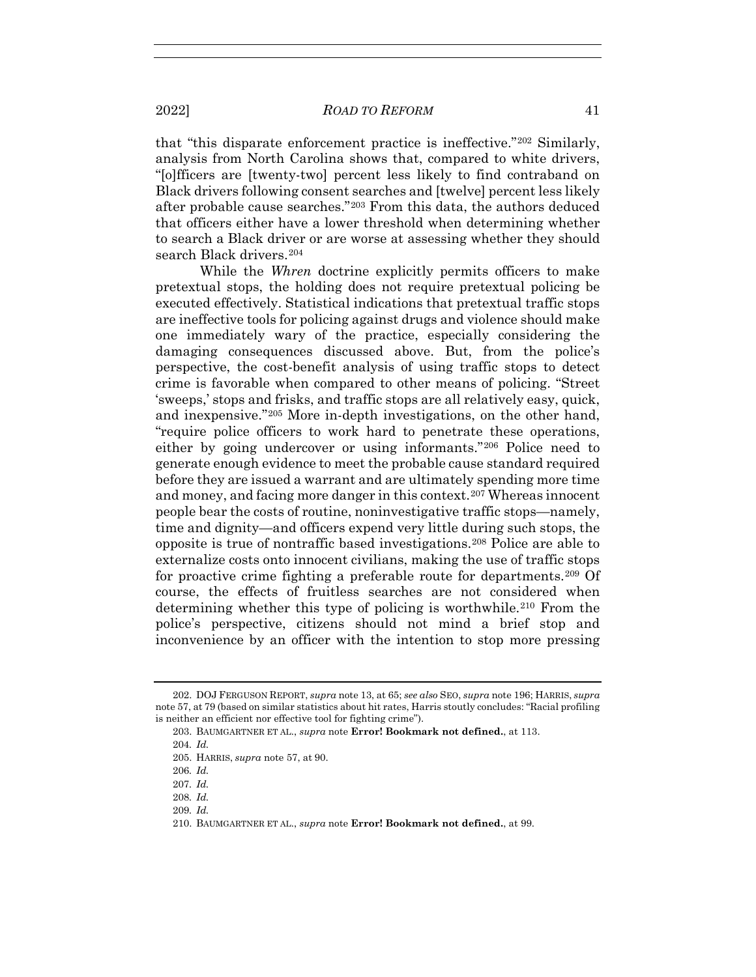that "this disparate enforcement practice is ineffective."202 Similarly, analysis from North Carolina shows that, compared to white drivers, "[o]fficers are [twenty-two] percent less likely to find contraband on Black drivers following consent searches and [twelve] percent less likely after probable cause searches."203 From this data, the authors deduced that officers either have a lower threshold when determining whether to search a Black driver or are worse at assessing whether they should search Black drivers.<sup>204</sup>

While the *Whren* doctrine explicitly permits officers to make pretextual stops, the holding does not require pretextual policing be executed effectively. Statistical indications that pretextual traffic stops are ineffective tools for policing against drugs and violence should make one immediately wary of the practice, especially considering the damaging consequences discussed above. But, from the police's perspective, the cost-benefit analysis of using traffic stops to detect crime is favorable when compared to other means of policing. "Street 'sweeps,' stops and frisks, and traffic stops are all relatively easy, quick, and inexpensive."205 More in-depth investigations, on the other hand, "require police officers to work hard to penetrate these operations, either by going undercover or using informants."206 Police need to generate enough evidence to meet the probable cause standard required before they are issued a warrant and are ultimately spending more time and money, and facing more danger in this context.207 Whereas innocent people bear the costs of routine, noninvestigative traffic stops—namely, time and dignity—and officers expend very little during such stops, the opposite is true of nontraffic based investigations.208 Police are able to externalize costs onto innocent civilians, making the use of traffic stops for proactive crime fighting a preferable route for departments.<sup>209</sup> Of course, the effects of fruitless searches are not considered when determining whether this type of policing is worthwhile.<sup>210</sup> From the police's perspective, citizens should not mind a brief stop and inconvenience by an officer with the intention to stop more pressing

 <sup>202.</sup> DOJ FERGUSON REPORT, *supra* note 13, at 65; *see also* SEO, *supra* note 196; HARRIS, *supra*  note 57, at 79 (based on similar statistics about hit rates, Harris stoutly concludes: "Racial profiling is neither an efficient nor effective tool for fighting crime").

 <sup>203.</sup> BAUMGARTNER ET AL., *supra* note **Error! Bookmark not defined.**, at 113.

<sup>204</sup>*. Id.*

 <sup>205.</sup> HARRIS, *supra* note 57, at 90.

<sup>206</sup>*. Id.*

<sup>207</sup>*. Id.*

<sup>208</sup>*. Id.*

<sup>209</sup>*. Id.*

 <sup>210.</sup> BAUMGARTNER ET AL., *supra* note **Error! Bookmark not defined.**, at 99.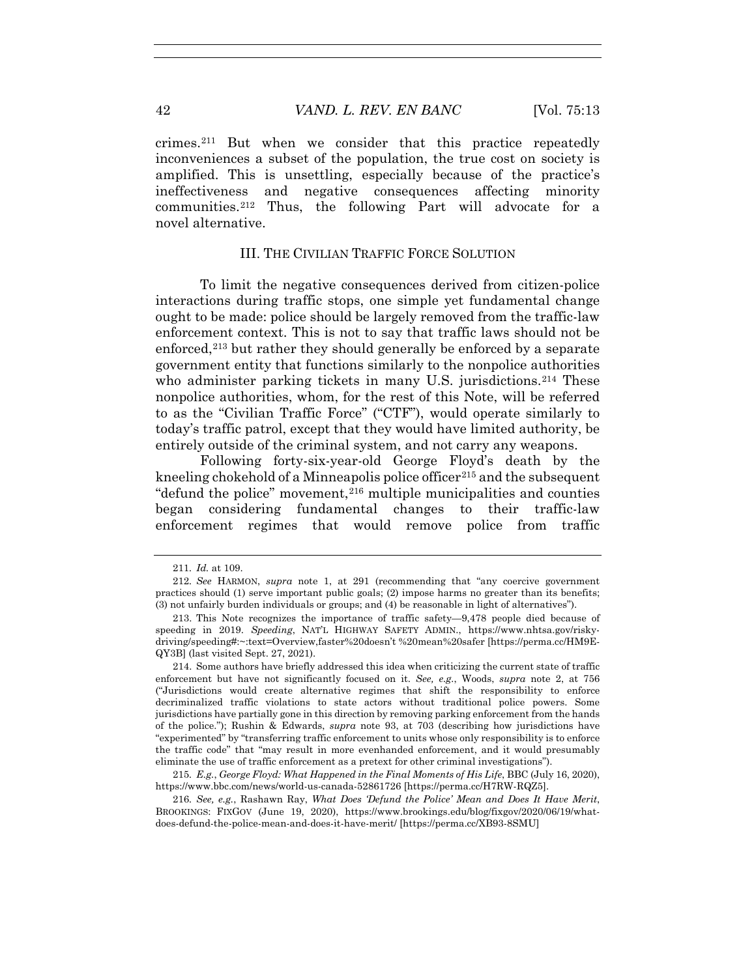crimes.211 But when we consider that this practice repeatedly inconveniences a subset of the population, the true cost on society is amplified. This is unsettling, especially because of the practice's ineffectiveness and negative consequences affecting minority communities.212 Thus, the following Part will advocate for a novel alternative.

## III. THE CIVILIAN TRAFFIC FORCE SOLUTION

To limit the negative consequences derived from citizen-police interactions during traffic stops, one simple yet fundamental change ought to be made: police should be largely removed from the traffic-law enforcement context. This is not to say that traffic laws should not be enforced,<sup>213</sup> but rather they should generally be enforced by a separate government entity that functions similarly to the nonpolice authorities who administer parking tickets in many U.S. jurisdictions.<sup>214</sup> These nonpolice authorities, whom, for the rest of this Note, will be referred to as the "Civilian Traffic Force" ("CTF"), would operate similarly to today's traffic patrol, except that they would have limited authority, be entirely outside of the criminal system, and not carry any weapons.

Following forty-six-year-old George Floyd's death by the kneeling chokehold of a Minneapolis police officer<sup>215</sup> and the subsequent "defund the police" movement,  $216$  multiple municipalities and counties began considering fundamental changes to their traffic-law enforcement regimes that would remove police from traffic

<sup>211</sup>*. Id.* at 109.

<sup>212</sup>*. See* HARMON, *supra* note 1, at 291 (recommending that "any coercive government practices should (1) serve important public goals; (2) impose harms no greater than its benefits; (3) not unfairly burden individuals or groups; and (4) be reasonable in light of alternatives").

 <sup>213.</sup> This Note recognizes the importance of traffic safety—9,478 people died because of speeding in 2019. *Speeding*, NAT'L HIGHWAY SAFETY ADMIN., https://www.nhtsa.gov/riskydriving/speeding#:~:text=Overview,faster%20doesn't %20mean%20safer [https://perma.cc/HM9E-QY3B] (last visited Sept. 27, 2021).

 <sup>214.</sup> Some authors have briefly addressed this idea when criticizing the current state of traffic enforcement but have not significantly focused on it. *See, e.g.*, Woods, *supra* note 2, at 756 ("Jurisdictions would create alternative regimes that shift the responsibility to enforce decriminalized traffic violations to state actors without traditional police powers. Some jurisdictions have partially gone in this direction by removing parking enforcement from the hands of the police."); Rushin & Edwards, *supra* note 93, at 703 (describing how jurisdictions have "experimented" by "transferring traffic enforcement to units whose only responsibility is to enforce the traffic code" that "may result in more evenhanded enforcement, and it would presumably eliminate the use of traffic enforcement as a pretext for other criminal investigations").

<sup>215</sup>*. E.g.*, *George Floyd: What Happened in the Final Moments of His Life*, BBC (July 16, 2020), https://www.bbc.com/news/world-us-canada-52861726 [https://perma.cc/H7RW-RQZ5].

<sup>216</sup>*. See, e.g.*, Rashawn Ray, *What Does 'Defund the Police' Mean and Does It Have Merit*, BROOKINGS: FIXGOV (June 19, 2020), https://www.brookings.edu/blog/fixgov/2020/06/19/whatdoes-defund-the-police-mean-and-does-it-have-merit/ [https://perma.cc/XB93-8SMU]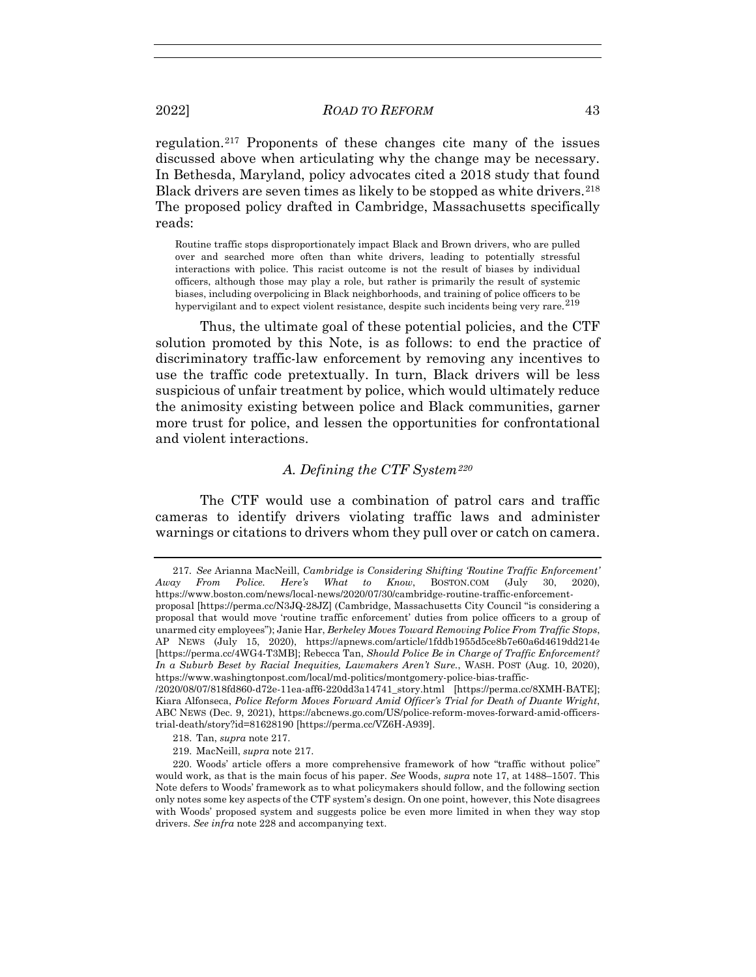regulation.217 Proponents of these changes cite many of the issues discussed above when articulating why the change may be necessary. In Bethesda, Maryland, policy advocates cited a 2018 study that found Black drivers are seven times as likely to be stopped as white drivers.<sup>218</sup> The proposed policy drafted in Cambridge, Massachusetts specifically reads:

Routine traffic stops disproportionately impact Black and Brown drivers, who are pulled over and searched more often than white drivers, leading to potentially stressful interactions with police. This racist outcome is not the result of biases by individual officers, although those may play a role, but rather is primarily the result of systemic biases, including overpolicing in Black neighborhoods, and training of police officers to be hypervigilant and to expect violent resistance, despite such incidents being very rare.<sup>219</sup>

Thus, the ultimate goal of these potential policies, and the CTF solution promoted by this Note, is as follows: to end the practice of discriminatory traffic-law enforcement by removing any incentives to use the traffic code pretextually. In turn, Black drivers will be less suspicious of unfair treatment by police, which would ultimately reduce the animosity existing between police and Black communities, garner more trust for police, and lessen the opportunities for confrontational and violent interactions.

# *A. Defining the CTF System220*

The CTF would use a combination of patrol cars and traffic cameras to identify drivers violating traffic laws and administer warnings or citations to drivers whom they pull over or catch on camera.

- 218. Tan, *supra* note 217.
- 219. MacNeill, *supra* note 217.

<sup>217</sup>*. See* Arianna MacNeill, *Cambridge is Considering Shifting 'Routine Traffic Enforcement' Away From Police. Here's What to Know*, BOSTON.COM (July 30, 2020), https://www.boston.com/news/local-news/2020/07/30/cambridge-routine-traffic-enforcement-

proposal [https://perma.cc/N3JQ-28JZ] (Cambridge, Massachusetts City Council "is considering a proposal that would move 'routine traffic enforcement' duties from police officers to a group of unarmed city employees"); Janie Har, *Berkeley Moves Toward Removing Police From Traffic Stops*, AP NEWS (July 15, 2020), https://apnews.com/article/1fddb1955d5ce8b7e60a6d4619dd214e [https://perma.cc/4WG4-T3MB]; Rebecca Tan, *Should Police Be in Charge of Traffic Enforcement? In a Suburb Beset by Racial Inequities, Lawmakers Aren't Sure.*, WASH. POST (Aug. 10, 2020), https://www.washingtonpost.com/local/md-politics/montgomery-police-bias-traffic-

<sup>/2020/08/07/818</sup>fd860-d72e-11ea-aff6-220dd3a14741\_story.html [https://perma.cc/8XMH-BATE]; Kiara Alfonseca, *Police Reform Moves Forward Amid Officer's Trial for Death of Duante Wright*, ABC NEWS (Dec. 9, 2021), https://abcnews.go.com/US/police-reform-moves-forward-amid-officerstrial-death/story?id=81628190 [https://perma.cc/VZ6H-A939].

 <sup>220.</sup> Woods' article offers a more comprehensive framework of how "traffic without police" would work, as that is the main focus of his paper. *See* Woods, *supra* note 17, at 1488–1507. This Note defers to Woods' framework as to what policymakers should follow, and the following section only notes some key aspects of the CTF system's design. On one point, however, this Note disagrees with Woods' proposed system and suggests police be even more limited in when they way stop drivers. *See infra* note 228 and accompanying text.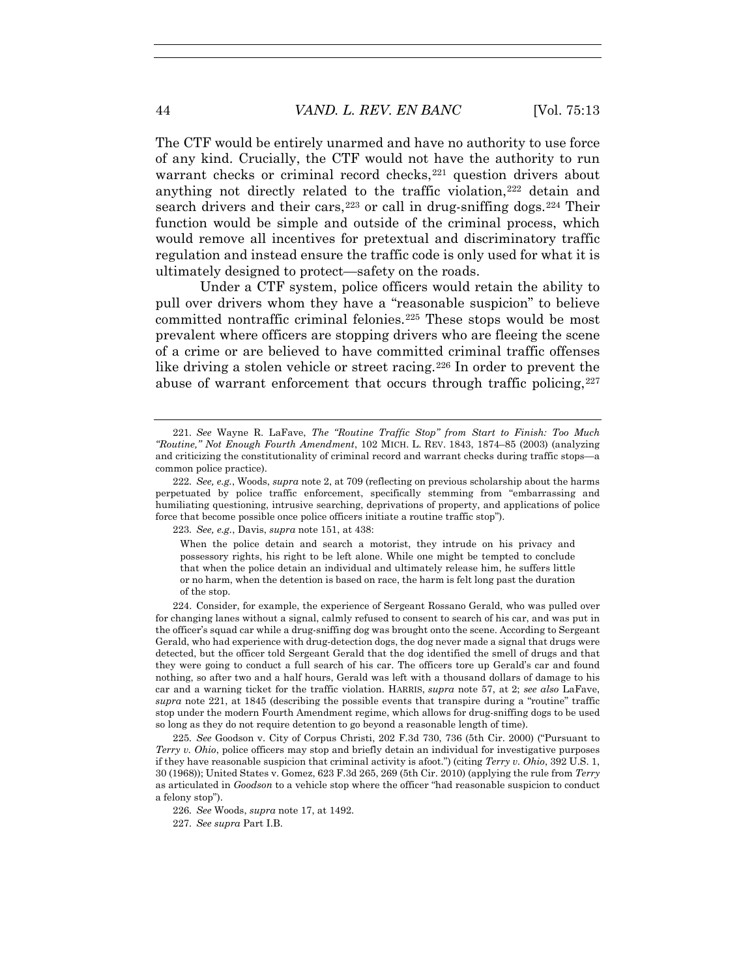The CTF would be entirely unarmed and have no authority to use force of any kind. Crucially, the CTF would not have the authority to run warrant checks or criminal record checks,<sup>221</sup> question drivers about anything not directly related to the traffic violation,222 detain and search drivers and their cars,  $223$  or call in drug-sniffing dogs.  $224$  Their function would be simple and outside of the criminal process, which would remove all incentives for pretextual and discriminatory traffic regulation and instead ensure the traffic code is only used for what it is ultimately designed to protect—safety on the roads.

Under a CTF system, police officers would retain the ability to pull over drivers whom they have a "reasonable suspicion" to believe committed nontraffic criminal felonies.<sup>225</sup> These stops would be most prevalent where officers are stopping drivers who are fleeing the scene of a crime or are believed to have committed criminal traffic offenses like driving a stolen vehicle or street racing.226 In order to prevent the abuse of warrant enforcement that occurs through traffic policing,  $227$ 

223*. See, e.g.*, Davis, *supra* note 151, at 438:

When the police detain and search a motorist, they intrude on his privacy and possessory rights, his right to be left alone. While one might be tempted to conclude that when the police detain an individual and ultimately release him, he suffers little or no harm, when the detention is based on race, the harm is felt long past the duration of the stop.

 224. Consider, for example, the experience of Sergeant Rossano Gerald, who was pulled over for changing lanes without a signal, calmly refused to consent to search of his car, and was put in the officer's squad car while a drug-sniffing dog was brought onto the scene. According to Sergeant Gerald, who had experience with drug-detection dogs, the dog never made a signal that drugs were detected, but the officer told Sergeant Gerald that the dog identified the smell of drugs and that they were going to conduct a full search of his car. The officers tore up Gerald's car and found nothing, so after two and a half hours, Gerald was left with a thousand dollars of damage to his car and a warning ticket for the traffic violation. HARRIS, *supra* note 57, at 2; *see also* LaFave, *supra* note 221, at 1845 (describing the possible events that transpire during a "routine" traffic stop under the modern Fourth Amendment regime, which allows for drug-sniffing dogs to be used so long as they do not require detention to go beyond a reasonable length of time).

225*. See* Goodson v. City of Corpus Christi, 202 F.3d 730, 736 (5th Cir. 2000) ("Pursuant to *Terry v. Ohio*, police officers may stop and briefly detain an individual for investigative purposes if they have reasonable suspicion that criminal activity is afoot.") (citing *Terry v. Ohio*, 392 U.S. 1, 30 (1968)); United States v. Gomez, 623 F.3d 265, 269 (5th Cir. 2010) (applying the rule from *Terry* as articulated in *Goodson* to a vehicle stop where the officer "had reasonable suspicion to conduct a felony stop").

226*. See* Woods, *supra* note 17, at 1492.

227*. See supra* Part I.B.

<sup>221</sup>*. See* Wayne R. LaFave, *The "Routine Traffic Stop" from Start to Finish: Too Much "Routine," Not Enough Fourth Amendment*, 102 MICH. L. REV. 1843, 1874–85 (2003) (analyzing and criticizing the constitutionality of criminal record and warrant checks during traffic stops—a common police practice).

<sup>222</sup>*. See, e.g.*, Woods, *supra* note 2, at 709 (reflecting on previous scholarship about the harms perpetuated by police traffic enforcement, specifically stemming from "embarrassing and humiliating questioning, intrusive searching, deprivations of property, and applications of police force that become possible once police officers initiate a routine traffic stop").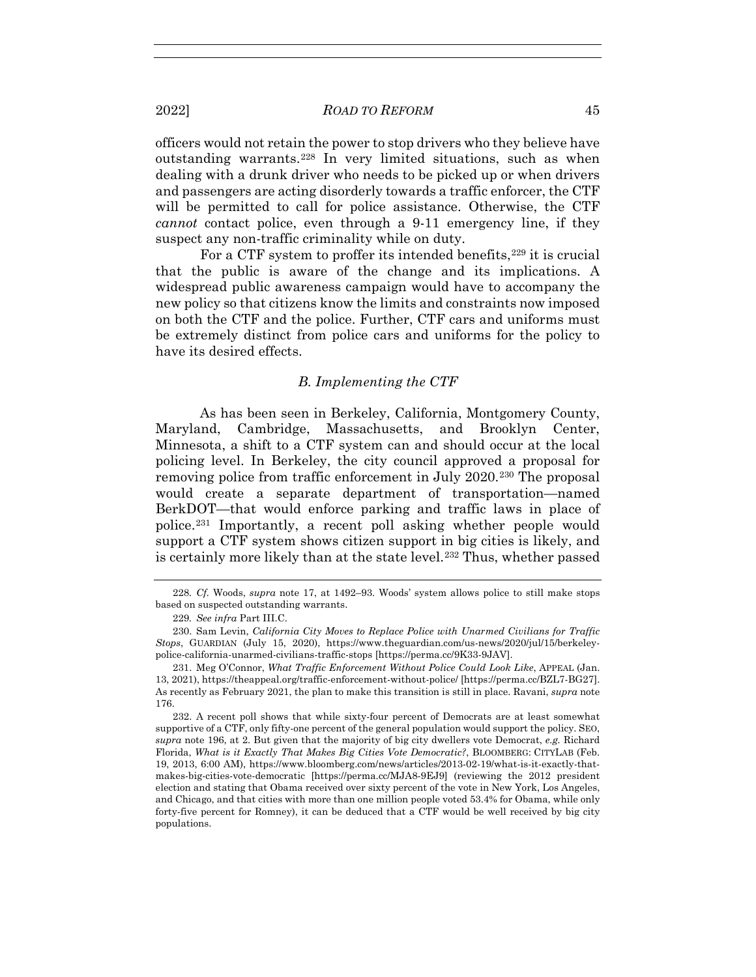2022] *ROAD TO REFORM* 45

officers would not retain the power to stop drivers who they believe have outstanding warrants.228 In very limited situations, such as when dealing with a drunk driver who needs to be picked up or when drivers and passengers are acting disorderly towards a traffic enforcer, the CTF will be permitted to call for police assistance. Otherwise, the CTF *cannot* contact police, even through a 9-11 emergency line, if they suspect any non-traffic criminality while on duty.

For a CTF system to proffer its intended benefits, <sup>229</sup> it is crucial that the public is aware of the change and its implications. A widespread public awareness campaign would have to accompany the new policy so that citizens know the limits and constraints now imposed on both the CTF and the police. Further, CTF cars and uniforms must be extremely distinct from police cars and uniforms for the policy to have its desired effects.

## *B. Implementing the CTF*

As has been seen in Berkeley, California, Montgomery County, Maryland, Cambridge, Massachusetts, and Brooklyn Center, Minnesota, a shift to a CTF system can and should occur at the local policing level. In Berkeley, the city council approved a proposal for removing police from traffic enforcement in July 2020.230 The proposal would create a separate department of transportation—named BerkDOT—that would enforce parking and traffic laws in place of police.231 Importantly, a recent poll asking whether people would support a CTF system shows citizen support in big cities is likely, and is certainly more likely than at the state level.<sup>232</sup> Thus, whether passed

<sup>228</sup>*. Cf.* Woods, *supra* note 17, at 1492–93. Woods' system allows police to still make stops based on suspected outstanding warrants.

<sup>229</sup>*. See infra* Part III.C.

 <sup>230.</sup> Sam Levin, *California City Moves to Replace Police with Unarmed Civilians for Traffic Stops*, GUARDIAN (July 15, 2020), https://www.theguardian.com/us-news/2020/jul/15/berkeleypolice-california-unarmed-civilians-traffic-stops [https://perma.cc/9K33-9JAV].

 <sup>231.</sup> Meg O'Connor, *What Traffic Enforcement Without Police Could Look Like*, APPEAL (Jan. 13, 2021), https://theappeal.org/traffic-enforcement-without-police/ [https://perma.cc/BZL7-BG27]. As recently as February 2021, the plan to make this transition is still in place. Ravani, *supra* note 176.

 <sup>232.</sup> A recent poll shows that while sixty-four percent of Democrats are at least somewhat supportive of a CTF, only fifty-one percent of the general population would support the policy. SEO, *supra* note 196, at 2. But given that the majority of big city dwellers vote Democrat, *e.g.* Richard Florida, *What is it Exactly That Makes Big Cities Vote Democratic?*, BLOOMBERG: CITYLAB (Feb. 19, 2013, 6:00 AM), https://www.bloomberg.com/news/articles/2013-02-19/what-is-it-exactly-thatmakes-big-cities-vote-democratic [https://perma.cc/MJA8-9EJ9] (reviewing the 2012 president election and stating that Obama received over sixty percent of the vote in New York, Los Angeles, and Chicago, and that cities with more than one million people voted 53.4% for Obama, while only forty-five percent for Romney), it can be deduced that a CTF would be well received by big city populations.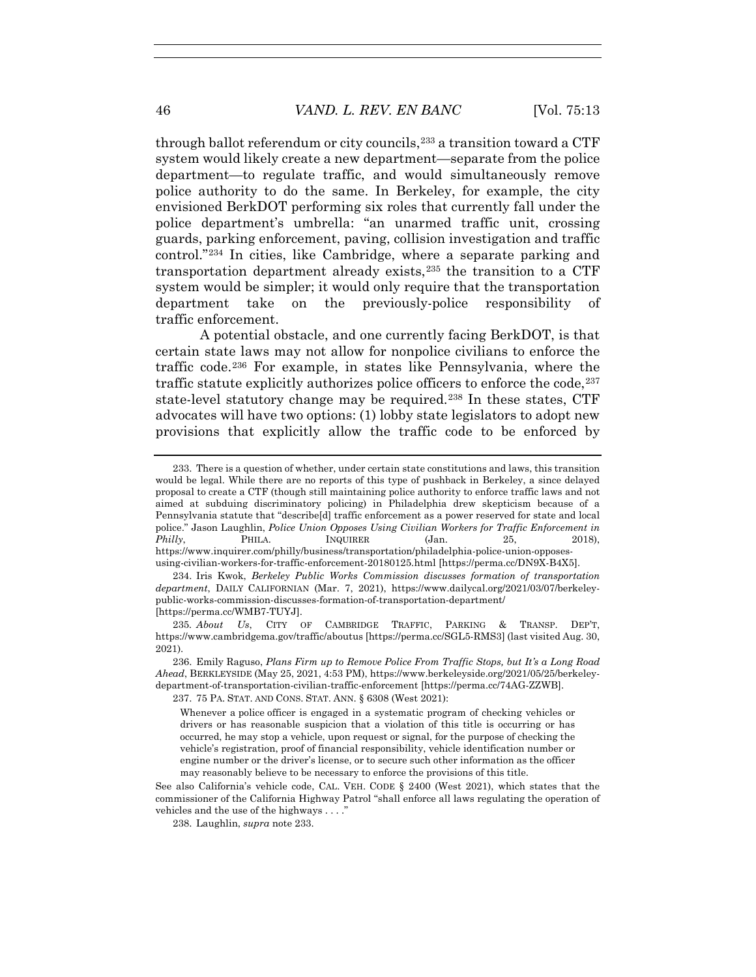through ballot referendum or city councils,<sup>233</sup> a transition toward a CTF system would likely create a new department—separate from the police department—to regulate traffic, and would simultaneously remove police authority to do the same. In Berkeley, for example, the city envisioned BerkDOT performing six roles that currently fall under the police department's umbrella: "an unarmed traffic unit, crossing guards, parking enforcement, paving, collision investigation and traffic control."234 In cities, like Cambridge, where a separate parking and transportation department already exists, $235$  the transition to a CTF system would be simpler; it would only require that the transportation department take on the previously-police responsibility of traffic enforcement.

A potential obstacle, and one currently facing BerkDOT, is that certain state laws may not allow for nonpolice civilians to enforce the traffic code.236 For example, in states like Pennsylvania, where the traffic statute explicitly authorizes police officers to enforce the code,  $237$ state-level statutory change may be required.238 In these states, CTF advocates will have two options: (1) lobby state legislators to adopt new provisions that explicitly allow the traffic code to be enforced by

 234. Iris Kwok, *Berkeley Public Works Commission discusses formation of transportation department*, DAILY CALIFORNIAN (Mar. 7, 2021), https://www.dailycal.org/2021/03/07/berkeleypublic-works-commission-discusses-formation-of-transportation-department/ [https://perma.cc/WMB7-TUYJ].

237. 75 PA. STAT. AND CONS. STAT. ANN. § 6308 (West 2021):

238. Laughlin, *supra* note 233.

 <sup>233.</sup> There is a question of whether, under certain state constitutions and laws, this transition would be legal. While there are no reports of this type of pushback in Berkeley, a since delayed proposal to create a CTF (though still maintaining police authority to enforce traffic laws and not aimed at subduing discriminatory policing) in Philadelphia drew skepticism because of a Pennsylvania statute that "describe[d] traffic enforcement as a power reserved for state and local police." Jason Laughlin, *Police Union Opposes Using Civilian Workers for Traffic Enforcement in Philly*, PHILA. INQUIRER (Jan. 25, 2018), https://www.inquirer.com/philly/business/transportation/philadelphia-police-union-opposesusing-civilian-workers-for-traffic-enforcement-20180125.html [https://perma.cc/DN9X-B4X5].

<sup>235</sup>*. About Us*, CITY OF CAMBRIDGE TRAFFIC, PARKING & TRANSP. DEP'T, https://www.cambridgema.gov/traffic/aboutus [https://perma.cc/SGL5-RMS3] (last visited Aug. 30, 2021).

 <sup>236.</sup> Emily Raguso, *Plans Firm up to Remove Police From Traffic Stops, but It's a Long Road Ahead*, BERKLEYSIDE (May 25, 2021, 4:53 PM), https://www.berkeleyside.org/2021/05/25/berkeleydepartment-of-transportation-civilian-traffic-enforcement [https://perma.cc/74AG-ZZWB].

Whenever a police officer is engaged in a systematic program of checking vehicles or drivers or has reasonable suspicion that a violation of this title is occurring or has occurred, he may stop a vehicle, upon request or signal, for the purpose of checking the vehicle's registration, proof of financial responsibility, vehicle identification number or engine number or the driver's license, or to secure such other information as the officer may reasonably believe to be necessary to enforce the provisions of this title.

See also California's vehicle code, CAL. VEH. CODE § 2400 (West 2021), which states that the commissioner of the California Highway Patrol "shall enforce all laws regulating the operation of vehicles and the use of the highways . . . ."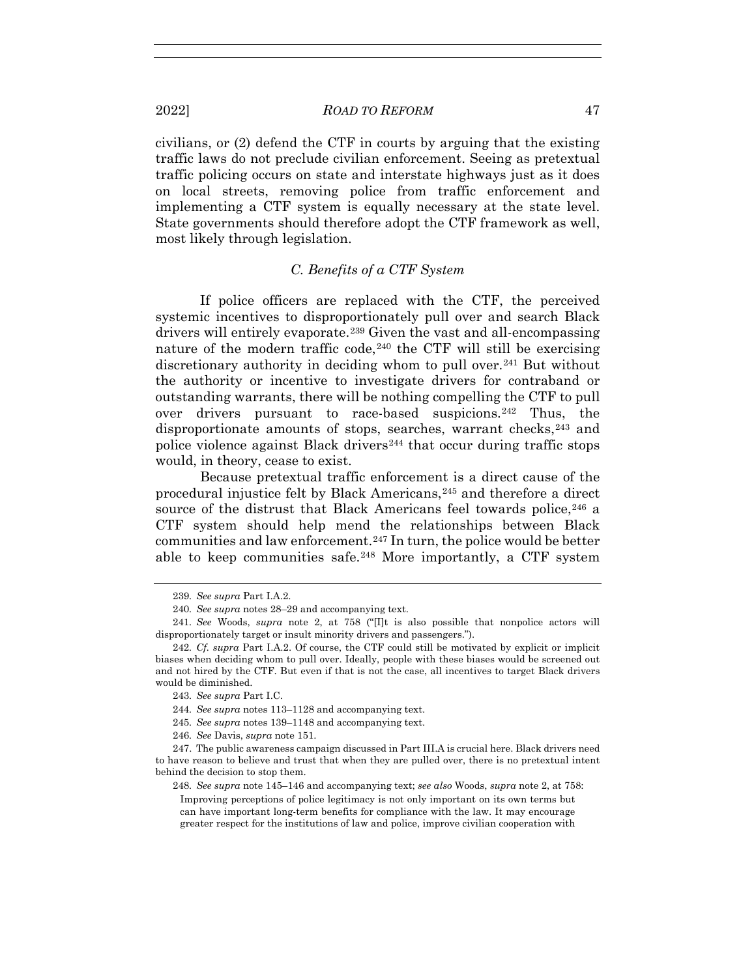civilians, or (2) defend the CTF in courts by arguing that the existing traffic laws do not preclude civilian enforcement. Seeing as pretextual traffic policing occurs on state and interstate highways just as it does on local streets, removing police from traffic enforcement and implementing a CTF system is equally necessary at the state level. State governments should therefore adopt the CTF framework as well, most likely through legislation.

# *C. Benefits of a CTF System*

If police officers are replaced with the CTF, the perceived systemic incentives to disproportionately pull over and search Black drivers will entirely evaporate.239 Given the vast and all-encompassing nature of the modern traffic code,<sup>240</sup> the CTF will still be exercising discretionary authority in deciding whom to pull over.241 But without the authority or incentive to investigate drivers for contraband or outstanding warrants, there will be nothing compelling the CTF to pull over drivers pursuant to race-based suspicions.242 Thus, the disproportionate amounts of stops, searches, warrant checks, <sup>243</sup> and police violence against Black drivers<sup>244</sup> that occur during traffic stops would, in theory, cease to exist.

Because pretextual traffic enforcement is a direct cause of the procedural injustice felt by Black Americans,245 and therefore a direct source of the distrust that Black Americans feel towards police, <sup>246</sup> a CTF system should help mend the relationships between Black communities and law enforcement.247 In turn, the police would be better able to keep communities safe.248 More importantly, a CTF system

245*. See supra* notes 139–1148 and accompanying text.

248*. See supra* note 145–146 and accompanying text; *see also* Woods, *supra* note 2, at 758:

Improving perceptions of police legitimacy is not only important on its own terms but can have important long-term benefits for compliance with the law. It may encourage greater respect for the institutions of law and police, improve civilian cooperation with

<sup>239</sup>*. See supra* Part I.A.2.

<sup>240</sup>*. See supra* notes 28–29 and accompanying text.

<sup>241</sup>*. See* Woods, *supra* note 2, at 758 ("[I]t is also possible that nonpolice actors will disproportionately target or insult minority drivers and passengers.").

<sup>242</sup>*. Cf. supra* Part I.A.2. Of course, the CTF could still be motivated by explicit or implicit biases when deciding whom to pull over. Ideally, people with these biases would be screened out and not hired by the CTF. But even if that is not the case, all incentives to target Black drivers would be diminished.

<sup>243</sup>*. See supra* Part I.C.

<sup>244</sup>*. See supra* notes 113–1128 and accompanying text.

<sup>246</sup>*. See* Davis, *supra* note 151.

 <sup>247.</sup> The public awareness campaign discussed in Part III.A is crucial here. Black drivers need to have reason to believe and trust that when they are pulled over, there is no pretextual intent behind the decision to stop them.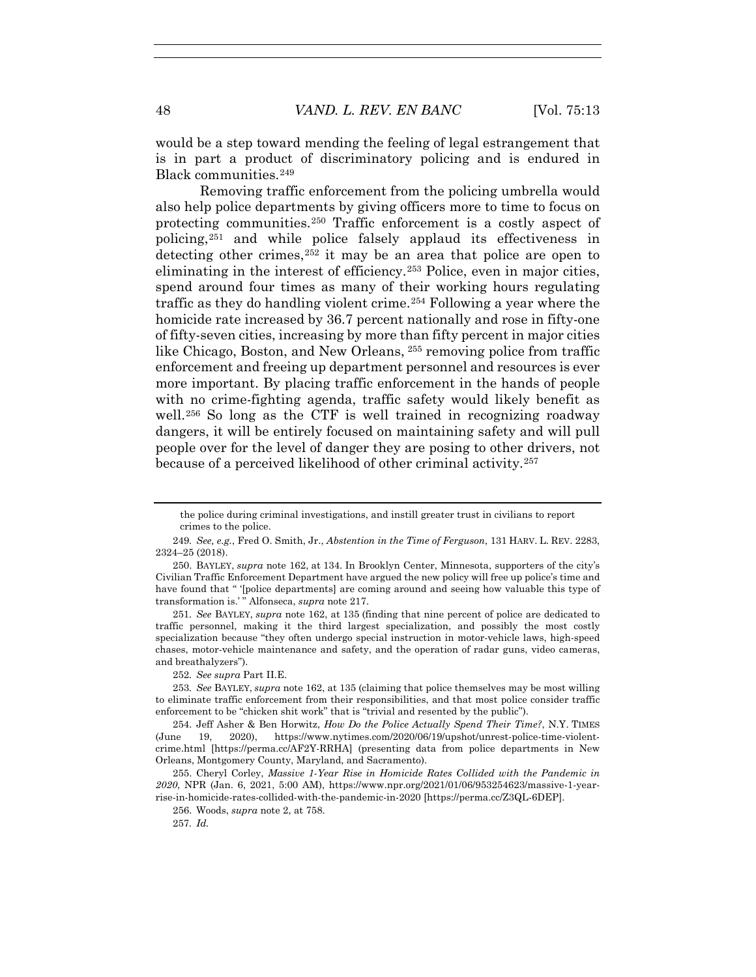would be a step toward mending the feeling of legal estrangement that is in part a product of discriminatory policing and is endured in Black communities.249

Removing traffic enforcement from the policing umbrella would also help police departments by giving officers more to time to focus on protecting communities.250 Traffic enforcement is a costly aspect of policing,251 and while police falsely applaud its effectiveness in detecting other crimes,<sup>252</sup> it may be an area that police are open to eliminating in the interest of efficiency.253 Police, even in major cities, spend around four times as many of their working hours regulating traffic as they do handling violent crime.254 Following a year where the homicide rate increased by 36.7 percent nationally and rose in fifty-one of fifty-seven cities, increasing by more than fifty percent in major cities like Chicago, Boston, and New Orleans, <sup>255</sup> removing police from traffic enforcement and freeing up department personnel and resources is ever more important. By placing traffic enforcement in the hands of people with no crime-fighting agenda, traffic safety would likely benefit as well.<sup>256</sup> So long as the CTF is well trained in recognizing roadway dangers, it will be entirely focused on maintaining safety and will pull people over for the level of danger they are posing to other drivers, not because of a perceived likelihood of other criminal activity.257

251*. See* BAYLEY, *supra* note 162, at 135 (finding that nine percent of police are dedicated to traffic personnel, making it the third largest specialization, and possibly the most costly specialization because "they often undergo special instruction in motor-vehicle laws, high-speed chases, motor-vehicle maintenance and safety, and the operation of radar guns, video cameras, and breathalyzers").

252*. See supra* Part II.E.

the police during criminal investigations, and instill greater trust in civilians to report crimes to the police.

<sup>249</sup>*. See, e.g.*, Fred O. Smith, Jr., *Abstention in the Time of Ferguson*, 131 HARV. L. REV. 2283, 2324–25 (2018).

 <sup>250.</sup> BAYLEY, *supra* note 162, at 134. In Brooklyn Center, Minnesota, supporters of the city's Civilian Traffic Enforcement Department have argued the new policy will free up police's time and have found that " '[police departments] are coming around and seeing how valuable this type of transformation is.' " Alfonseca, *supra* note 217.

<sup>253</sup>*. See* BAYLEY, *supra* note 162, at 135 (claiming that police themselves may be most willing to eliminate traffic enforcement from their responsibilities, and that most police consider traffic enforcement to be "chicken shit work" that is "trivial and resented by the public").

 <sup>254.</sup> Jeff Asher & Ben Horwitz, *How Do the Police Actually Spend Their Time?*, N.Y. TIMES (June 19, 2020), https://www.nytimes.com/2020/06/19/upshot/unrest-police-time-violentcrime.html [https://perma.cc/AF2Y-RRHA] (presenting data from police departments in New Orleans, Montgomery County, Maryland, and Sacramento).

 <sup>255.</sup> Cheryl Corley, *Massive 1-Year Rise in Homicide Rates Collided with the Pandemic in 2020*, NPR (Jan. 6, 2021, 5:00 AM), https://www.npr.org/2021/01/06/953254623/massive-1-yearrise-in-homicide-rates-collided-with-the-pandemic-in-2020 [https://perma.cc/Z3QL-6DEP].

 <sup>256.</sup> Woods, *supra* note 2, at 758.

<sup>257</sup>*. Id.*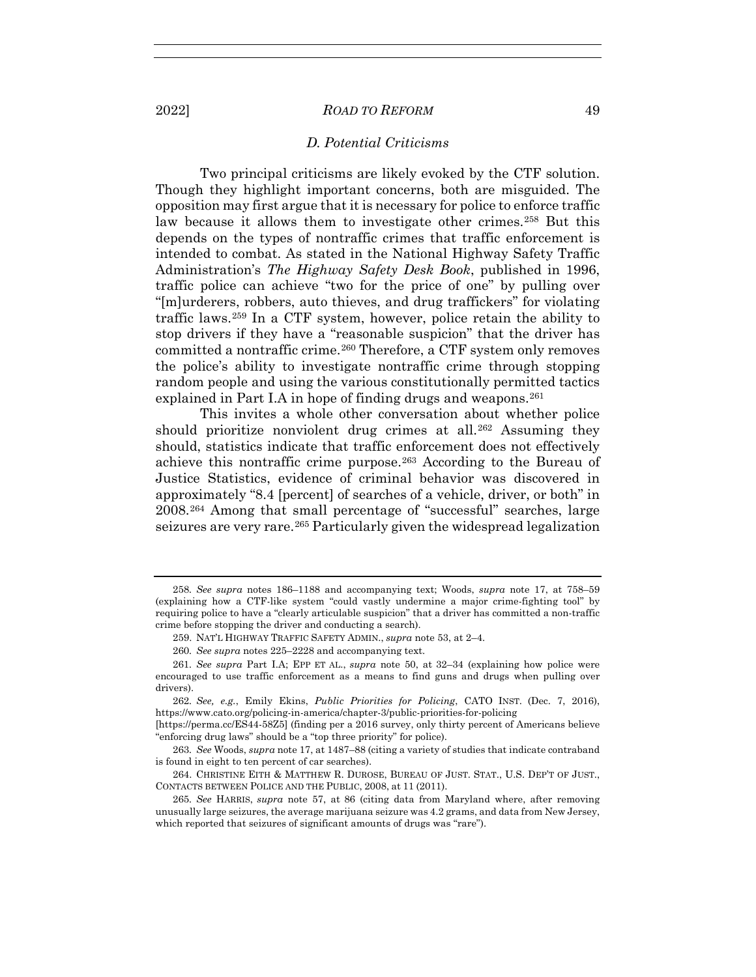2022] *ROAD TO REFORM* 49

## *D. Potential Criticisms*

Two principal criticisms are likely evoked by the CTF solution. Though they highlight important concerns, both are misguided. The opposition may first argue that it is necessary for police to enforce traffic law because it allows them to investigate other crimes.<sup>258</sup> But this depends on the types of nontraffic crimes that traffic enforcement is intended to combat. As stated in the National Highway Safety Traffic Administration's *The Highway Safety Desk Book*, published in 1996, traffic police can achieve "two for the price of one" by pulling over "[m]urderers, robbers, auto thieves, and drug traffickers" for violating traffic laws.259 In a CTF system, however, police retain the ability to stop drivers if they have a "reasonable suspicion" that the driver has committed a nontraffic crime.<sup>260</sup> Therefore, a CTF system only removes the police's ability to investigate nontraffic crime through stopping random people and using the various constitutionally permitted tactics explained in Part I.A in hope of finding drugs and weapons.<sup>261</sup>

This invites a whole other conversation about whether police should prioritize nonviolent drug crimes at all.<sup>262</sup> Assuming they should, statistics indicate that traffic enforcement does not effectively achieve this nontraffic crime purpose.263 According to the Bureau of Justice Statistics, evidence of criminal behavior was discovered in approximately "8.4 [percent] of searches of a vehicle, driver, or both" in 2008.264 Among that small percentage of "successful" searches, large seizures are very rare.<sup>265</sup> Particularly given the widespread legalization

[https://perma.cc/ES44-58Z5] (finding per a 2016 survey, only thirty percent of Americans believe "enforcing drug laws" should be a "top three priority" for police).

<sup>258</sup>*. See supra* notes 186–1188 and accompanying text; Woods, *supra* note 17, at 758–59 (explaining how a CTF-like system "could vastly undermine a major crime-fighting tool" by requiring police to have a "clearly articulable suspicion" that a driver has committed a non-traffic crime before stopping the driver and conducting a search).

 <sup>259.</sup> NAT'L HIGHWAY TRAFFIC SAFETY ADMIN., *supra* note 53, at 2–4.

<sup>260</sup>*. See supra* notes 225–2228 and accompanying text.

<sup>261</sup>*. See supra* Part I.A; EPP ET AL., *supra* note 50, at 32–34 (explaining how police were encouraged to use traffic enforcement as a means to find guns and drugs when pulling over drivers).

<sup>262</sup>*. See, e.g.*, Emily Ekins, *Public Priorities for Policing*, CATO INST. (Dec. 7, 2016), https://www.cato.org/policing-in-america/chapter-3/public-priorities-for-policing

<sup>263</sup>*. See* Woods, *supra* note 17, at 1487–88 (citing a variety of studies that indicate contraband is found in eight to ten percent of car searches).

 <sup>264.</sup> CHRISTINE EITH & MATTHEW R. DUROSE, BUREAU OF JUST. STAT., U.S. DEP'T OF JUST., CONTACTS BETWEEN POLICE AND THE PUBLIC, 2008, at 11 (2011).

<sup>265</sup>*. See* HARRIS, *supra* note 57, at 86 (citing data from Maryland where, after removing unusually large seizures, the average marijuana seizure was 4.2 grams, and data from New Jersey, which reported that seizures of significant amounts of drugs was "rare").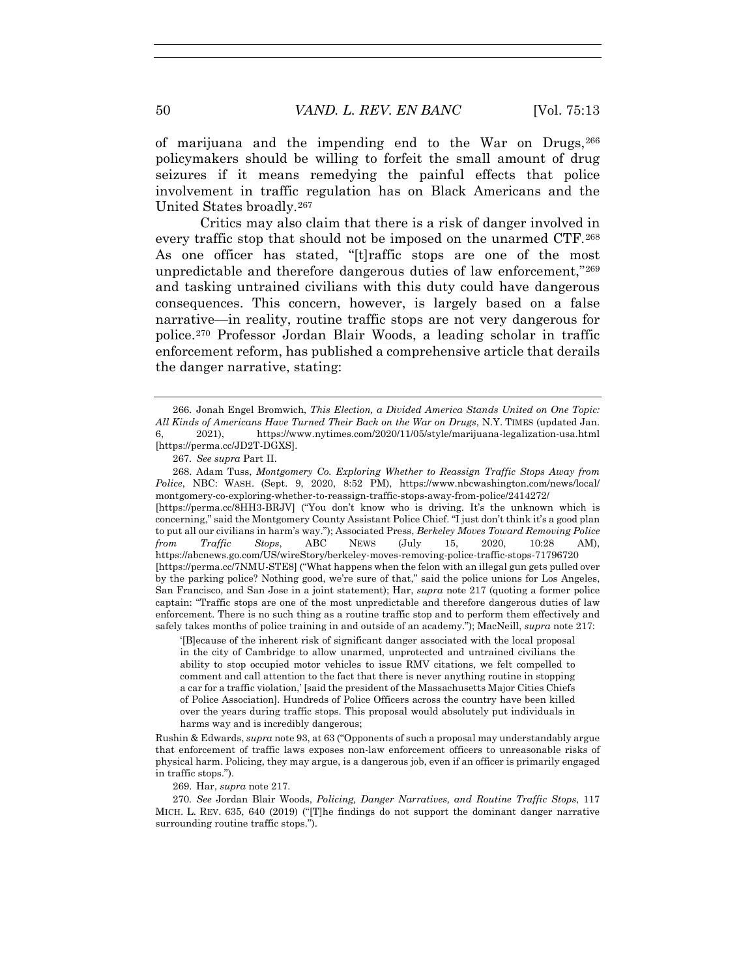of marijuana and the impending end to the War on Drugs,266 policymakers should be willing to forfeit the small amount of drug seizures if it means remedying the painful effects that police involvement in traffic regulation has on Black Americans and the United States broadly.267

Critics may also claim that there is a risk of danger involved in every traffic stop that should not be imposed on the unarmed CTF.<sup>268</sup> As one officer has stated, "[t]raffic stops are one of the most unpredictable and therefore dangerous duties of law enforcement,"269 and tasking untrained civilians with this duty could have dangerous consequences. This concern, however, is largely based on a false narrative—in reality, routine traffic stops are not very dangerous for police.270 Professor Jordan Blair Woods, a leading scholar in traffic enforcement reform, has published a comprehensive article that derails the danger narrative, stating:

 268. Adam Tuss, *Montgomery Co. Exploring Whether to Reassign Traffic Stops Away from Police*, NBC: WASH. (Sept. 9, 2020, 8:52 PM), https://www.nbcwashington.com/news/local/ montgomery-co-exploring-whether-to-reassign-traffic-stops-away-from-police/2414272/ [https://perma.cc/8HH3-BRJV] ("You don't know who is driving. It's the unknown which is concerning," said the Montgomery County Assistant Police Chief. "I just don't think it's a good plan to put all our civilians in harm's way."); Associated Press, *Berkeley Moves Toward Removing Police from Traffic Stops*, ABC NEWS (July 15, 2020, 10:28 AM), https://abcnews.go.com/US/wireStory/berkeley-moves-removing-police-traffic-stops-71796720 [https://perma.cc/7NMU-STE8] ("What happens when the felon with an illegal gun gets pulled over by the parking police? Nothing good, we're sure of that," said the police unions for Los Angeles, San Francisco, and San Jose in a joint statement); Har, *supra* note 217 (quoting a former police captain: "Traffic stops are one of the most unpredictable and therefore dangerous duties of law enforcement. There is no such thing as a routine traffic stop and to perform them effectively and safely takes months of police training in and outside of an academy."); MacNeill, *supra* note 217:

'[B]ecause of the inherent risk of significant danger associated with the local proposal in the city of Cambridge to allow unarmed, unprotected and untrained civilians the ability to stop occupied motor vehicles to issue RMV citations, we felt compelled to comment and call attention to the fact that there is never anything routine in stopping a car for a traffic violation,' [said the president of the Massachusetts Major Cities Chiefs of Police Association]. Hundreds of Police Officers across the country have been killed over the years during traffic stops. This proposal would absolutely put individuals in harms way and is incredibly dangerous;

Rushin & Edwards, *supra* note 93, at 63 ("Opponents of such a proposal may understandably argue that enforcement of traffic laws exposes non-law enforcement officers to unreasonable risks of physical harm. Policing, they may argue, is a dangerous job, even if an officer is primarily engaged in traffic stops.").

269. Har, *supra* note 217.

270*. See* Jordan Blair Woods, *Policing, Danger Narratives, and Routine Traffic Stops*, 117 MICH. L. REV. 635, 640 (2019) ("[T]he findings do not support the dominant danger narrative surrounding routine traffic stops.").

 <sup>266.</sup> Jonah Engel Bromwich, *This Election, a Divided America Stands United on One Topic: All Kinds of Americans Have Turned Their Back on the War on Drugs*, N.Y. TIMES (updated Jan. 6, 2021), https://www.nytimes.com/2020/11/05/style/marijuana-legalization-usa.html [https://perma.cc/JD2T-DGXS].

<sup>267</sup>*. See supra* Part II.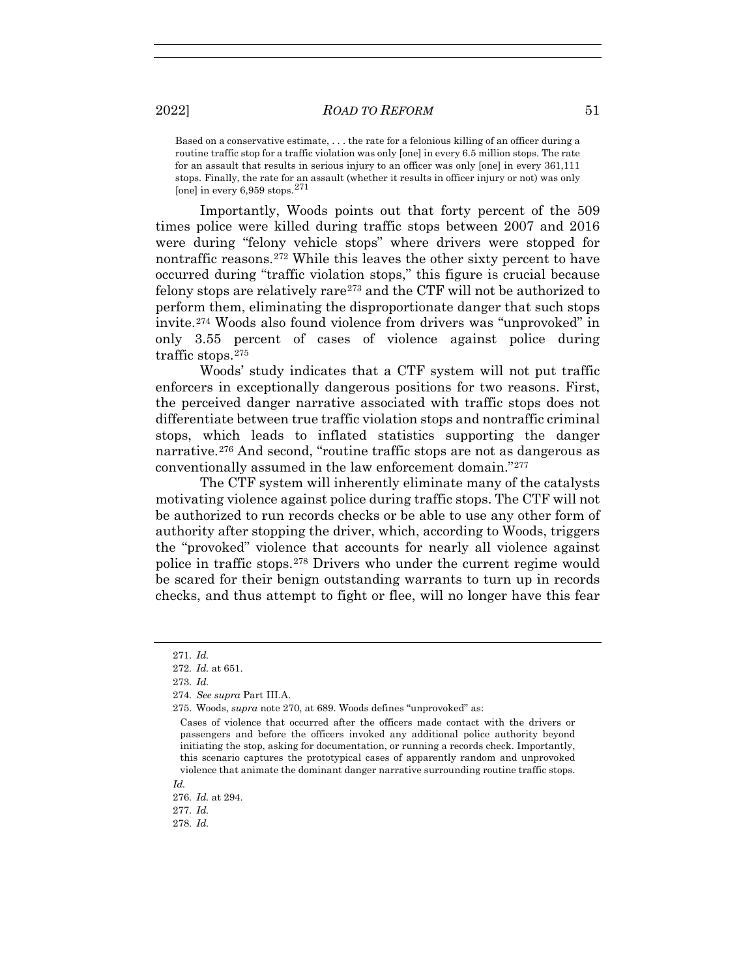Based on a conservative estimate, . . . the rate for a felonious killing of an officer during a routine traffic stop for a traffic violation was only [one] in every 6.5 million stops. The rate for an assault that results in serious injury to an officer was only [one] in every 361,111 stops. Finally, the rate for an assault (whether it results in officer injury or not) was only [one] in every  $6,959$  stops.<sup>271</sup>

Importantly, Woods points out that forty percent of the 509 times police were killed during traffic stops between 2007 and 2016 were during "felony vehicle stops" where drivers were stopped for nontraffic reasons.272 While this leaves the other sixty percent to have occurred during "traffic violation stops," this figure is crucial because felony stops are relatively rare273 and the CTF will not be authorized to perform them, eliminating the disproportionate danger that such stops invite.274 Woods also found violence from drivers was "unprovoked" in only 3.55 percent of cases of violence against police during traffic stops.275

Woods' study indicates that a CTF system will not put traffic enforcers in exceptionally dangerous positions for two reasons. First, the perceived danger narrative associated with traffic stops does not differentiate between true traffic violation stops and nontraffic criminal stops, which leads to inflated statistics supporting the danger narrative.276 And second, "routine traffic stops are not as dangerous as conventionally assumed in the law enforcement domain."277

The CTF system will inherently eliminate many of the catalysts motivating violence against police during traffic stops. The CTF will not be authorized to run records checks or be able to use any other form of authority after stopping the driver, which, according to Woods, triggers the "provoked" violence that accounts for nearly all violence against police in traffic stops.278 Drivers who under the current regime would be scared for their benign outstanding warrants to turn up in records checks, and thus attempt to fight or flee, will no longer have this fear

<sup>271</sup>*. Id.*

<sup>272</sup>*. Id.* at 651.

<sup>273</sup>*. Id.*

<sup>274</sup>*. See supra* Part III.A.

 <sup>275.</sup> Woods, *supra* note 270, at 689. Woods defines "unprovoked" as:

Cases of violence that occurred after the officers made contact with the drivers or passengers and before the officers invoked any additional police authority beyond initiating the stop, asking for documentation, or running a records check. Importantly, this scenario captures the prototypical cases of apparently random and unprovoked violence that animate the dominant danger narrative surrounding routine traffic stops. *Id.*

<sup>276</sup>*. Id.* at 294. 277*. Id.* 278*. Id.*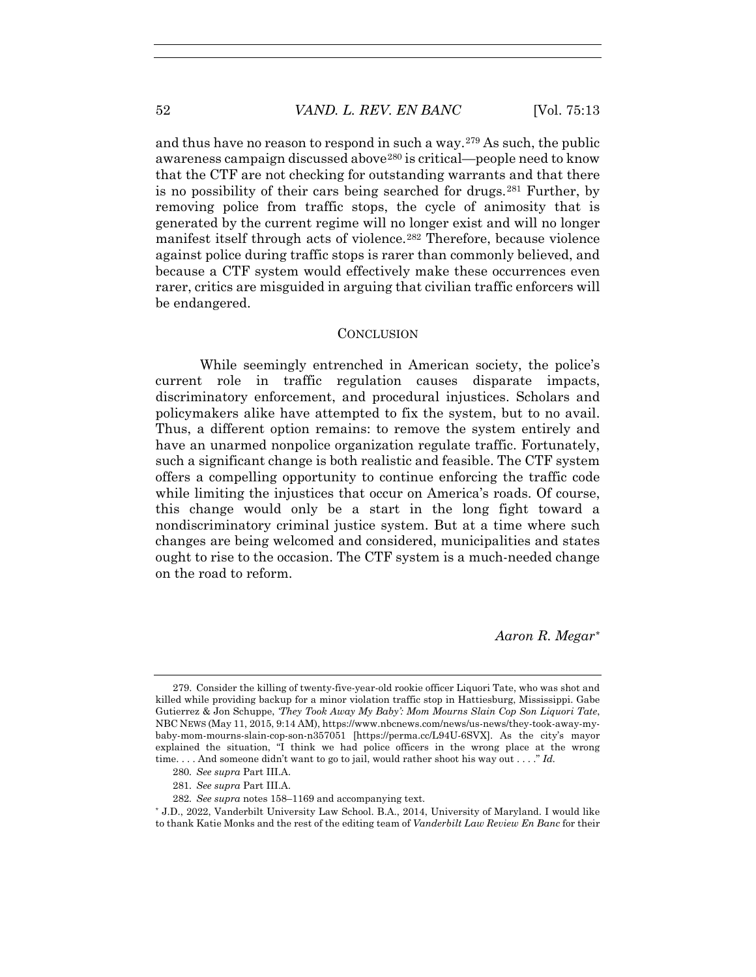and thus have no reason to respond in such a way.279 As such, the public awareness campaign discussed above<sup>280</sup> is critical—people need to know that the CTF are not checking for outstanding warrants and that there is no possibility of their cars being searched for drugs.<sup>281</sup> Further, by removing police from traffic stops, the cycle of animosity that is generated by the current regime will no longer exist and will no longer manifest itself through acts of violence.<sup>282</sup> Therefore, because violence against police during traffic stops is rarer than commonly believed, and because a CTF system would effectively make these occurrences even rarer, critics are misguided in arguing that civilian traffic enforcers will be endangered.

#### **CONCLUSION**

While seemingly entrenched in American society, the police's current role in traffic regulation causes disparate impacts, discriminatory enforcement, and procedural injustices. Scholars and policymakers alike have attempted to fix the system, but to no avail. Thus, a different option remains: to remove the system entirely and have an unarmed nonpolice organization regulate traffic. Fortunately, such a significant change is both realistic and feasible. The CTF system offers a compelling opportunity to continue enforcing the traffic code while limiting the injustices that occur on America's roads. Of course, this change would only be a start in the long fight toward a nondiscriminatory criminal justice system. But at a time where such changes are being welcomed and considered, municipalities and states ought to rise to the occasion. The CTF system is a much-needed change on the road to reform.

*Aaron R. Megar\**

\* J.D., 2022, Vanderbilt University Law School. B.A., 2014, University of Maryland. I would like to thank Katie Monks and the rest of the editing team of *Vanderbilt Law Review En Banc* for their

 <sup>279.</sup> Consider the killing of twenty-five-year-old rookie officer Liquori Tate, who was shot and killed while providing backup for a minor violation traffic stop in Hattiesburg, Mississippi. Gabe Gutierrez & Jon Schuppe, *'They Took Away My Baby': Mom Mourns Slain Cop Son Liquori Tate*, NBC NEWS (May 11, 2015, 9:14 AM), https://www.nbcnews.com/news/us-news/they-took-away-mybaby-mom-mourns-slain-cop-son-n357051 [https://perma.cc/L94U-6SVX]. As the city's mayor explained the situation, "I think we had police officers in the wrong place at the wrong time. . . . And someone didn't want to go to jail, would rather shoot his way out . . . ." *Id.*

<sup>280</sup>*. See supra* Part III.A.

<sup>281</sup>*. See supra* Part III.A.

<sup>282</sup>*. See supra* notes 158–1169 and accompanying text.